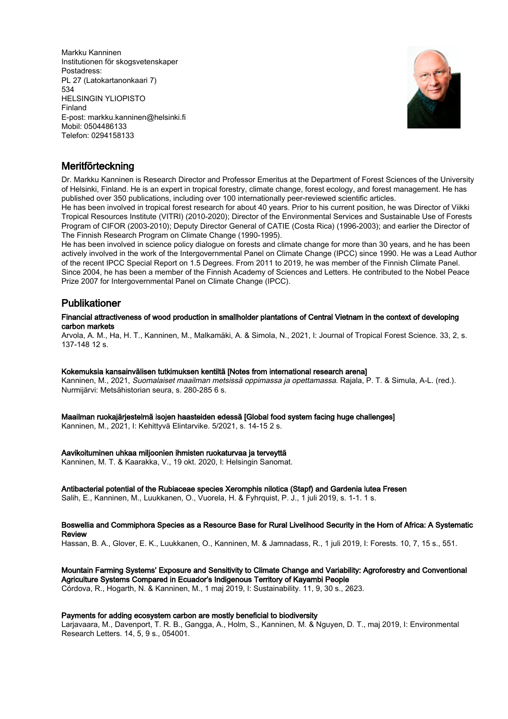Markku Kanninen Institutionen för skogsvetenskaper Postadress: PL 27 (Latokartanonkaari 7) 534 HELSINGIN YLIOPISTO Finland E-post: markku.kanninen@helsinki.fi Mobil: 0504486133 Telefon: 0294158133



# Meritförteckning

Dr. Markku Kanninen is Research Director and Professor Emeritus at the Department of Forest Sciences of the University of Helsinki, Finland. He is an expert in tropical forestry, climate change, forest ecology, and forest management. He has published over 350 publications, including over 100 internationally peer-reviewed scientific articles.

He has been involved in tropical forest research for about 40 years. Prior to his current position, he was Director of Viikki Tropical Resources Institute (VITRI) (2010-2020); Director of the Environmental Services and Sustainable Use of Forests Program of CIFOR (2003-2010); Deputy Director General of CATIE (Costa Rica) (1996-2003); and earlier the Director of The Finnish Research Program on Climate Change (1990-1995).

He has been involved in science policy dialogue on forests and climate change for more than 30 years, and he has been actively involved in the work of the Intergovernmental Panel on Climate Change (IPCC) since 1990. He was a Lead Author of the recent IPCC Special Report on 1.5 Degrees. From 2011 to 2019, he was member of the Finnish Climate Panel. Since 2004, he has been a member of the Finnish Academy of Sciences and Letters. He contributed to the Nobel Peace Prize 2007 for Intergovernmental Panel on Climate Change (IPCC).

# Publikationer

Financial attractiveness of wood production in smallholder plantations of Central Vietnam in the context of developing carbon markets

Arvola, A. M., Ha, H. T., Kanninen, M., Malkamäki, A. & Simola, N., 2021, I: Journal of Tropical Forest Science. 33, 2, s. 137-148 12 s.

# Kokemuksia kansainvälisen tutkimuksen kentiltä [Notes from international research arena]

Kanninen, M., 2021, Suomalaiset maailman metsissä oppimassa ja opettamassa. Rajala, P. T. & Simula, A-L. (red.). Nurmijärvi: Metsähistorian seura, s. 280-285 6 s.

# Maailman ruokajärjestelmä isojen haasteiden edessä [Global food system facing huge challenges]

Kanninen, M., 2021, I: Kehittyvä Elintarvike. 5/2021, s. 14-15 2 s.

# Aavikoituminen uhkaa miljoonien ihmisten ruokaturvaa ja terveyttä

Kanninen, M. T. & Kaarakka, V., 19 okt. 2020, I: Helsingin Sanomat.

# Antibacterial potential of the Rubiaceae species Xeromphis nilotica (Stapf) and Gardenia lutea Fresen

Salih, E., Kanninen, M., Luukkanen, O., Vuorela, H. & Fyhrquist, P. J., 1 juli 2019, s. 1-1. 1 s.

#### Boswellia and Commiphora Species as a Resource Base for Rural Livelihood Security in the Horn of Africa: A Systematic Review

Hassan, B. A., Glover, E. K., Luukkanen, O., Kanninen, M. & Jamnadass, R., 1 juli 2019, I: Forests. 10, 7, 15 s., 551.

#### Mountain Farming Systems' Exposure and Sensitivity to Climate Change and Variability: Agroforestry and Conventional Agriculture Systems Compared in Ecuador's Indigenous Territory of Kayambi People

Córdova, R., Hogarth, N. & Kanninen, M., 1 maj 2019, I: Sustainability. 11, 9, 30 s., 2623.

# Payments for adding ecosystem carbon are mostly beneficial to biodiversity

Larjavaara, M., Davenport, T. R. B., Gangga, A., Holm, S., Kanninen, M. & Nguyen, D. T., maj 2019, I: Environmental Research Letters. 14, 5, 9 s., 054001.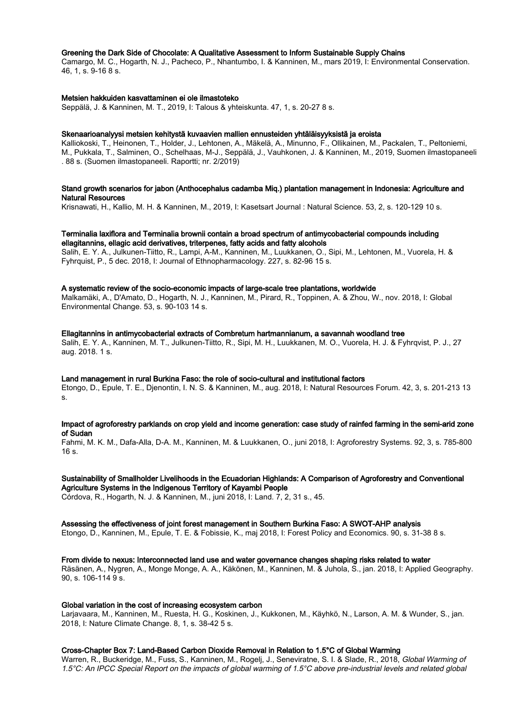## Greening the Dark Side of Chocolate: A Qualitative Assessment to Inform Sustainable Supply Chains

Camargo, M. C., Hogarth, N. J., Pacheco, P., Nhantumbo, I. & Kanninen, M., mars 2019, I: Environmental Conservation. 46, 1, s. 9-16 8 s.

#### Metsien hakkuiden kasvattaminen ei ole ilmastoteko

Seppälä, J. & Kanninen, M. T., 2019, I: Talous & yhteiskunta. 47, 1, s. 20-27 8 s.

#### Skenaarioanalyysi metsien kehitystä kuvaavien mallien ennusteiden yhtäläisyyksistä ja eroista

Kalliokoski, T., Heinonen, T., Holder, J., Lehtonen, A., Mäkelä, A., Minunno, F., Ollikainen, M., Packalen, T., Peltoniemi, M., Pukkala, T., Salminen, O., Schelhaas, M-J., Seppälä, J., Vauhkonen, J. & Kanninen, M., 2019, Suomen ilmastopaneeli . 88 s. (Suomen ilmastopaneeli. Raportti; nr. 2/2019)

# Stand growth scenarios for jabon (Anthocephalus cadamba Miq.) plantation management in Indonesia: Agriculture and Natural Resources

Krisnawati, H., Kallio, M. H. & Kanninen, M., 2019, I: Kasetsart Journal : Natural Science. 53, 2, s. 120-129 10 s.

### Terminalia laxiflora and Terminalia brownii contain a broad spectrum of antimycobacterial compounds including ellagitannins, ellagic acid derivatives, triterpenes, fatty acids and fatty alcohols

Salih, E. Y. A., Julkunen-Tiitto, R., Lampi, A-M., Kanninen, M., Luukkanen, O., Sipi, M., Lehtonen, M., Vuorela, H. & Fyhrquist, P., 5 dec. 2018, I: Journal of Ethnopharmacology. 227, s. 82-96 15 s.

#### A systematic review of the socio-economic impacts of large-scale tree plantations, worldwide

Malkamäki, A., D'Amato, D., Hogarth, N. J., Kanninen, M., Pirard, R., Toppinen, A. & Zhou, W., nov. 2018, I: Global Environmental Change. 53, s. 90-103 14 s.

#### Ellagitannins in antimycobacterial extracts of Combretum hartmannianum, a savannah woodland tree

Salih, E. Y. A., Kanninen, M. T., Julkunen-Tiitto, R., Sipi, M. H., Luukkanen, M. O., Vuorela, H. J. & Fyhrqvist, P. J., 27 aug. 2018. 1 s.

#### Land management in rural Burkina Faso: the role of socio-cultural and institutional factors

Etongo, D., Epule, T. E., Djenontin, I. N. S. & Kanninen, M., aug. 2018, I: Natural Resources Forum. 42, 3, s. 201-213 13 s.

# Impact of agroforestry parklands on crop yield and income generation: case study of rainfed farming in the semi-arid zone of Sudan

Fahmi, M. K. M., Dafa-Alla, D-A. M., Kanninen, M. & Luukkanen, O., juni 2018, I: Agroforestry Systems. 92, 3, s. 785-800 16 s.

# Sustainability of Smallholder Livelihoods in the Ecuadorian Highlands: A Comparison of Agroforestry and Conventional Agriculture Systems in the Indigenous Territory of Kayambi People

Córdova, R., Hogarth, N. J. & Kanninen, M., juni 2018, I: Land. 7, 2, 31 s., 45.

# Assessing the effectiveness of joint forest management in Southern Burkina Faso: A SWOT-AHP analysis

Etongo, D., Kanninen, M., Epule, T. E. & Fobissie, K., maj 2018, I: Forest Policy and Economics. 90, s. 31-38 8 s.

From divide to nexus: Interconnected land use and water governance changes shaping risks related to water Räsänen, A., Nygren, A., Monge Monge, A. A., Käkönen, M., Kanninen, M. & Juhola, S., jan. 2018, I: Applied Geography. 90, s. 106-114 9 s.

#### Global variation in the cost of increasing ecosystem carbon

Larjavaara, M., Kanninen, M., Ruesta, H. G., Koskinen, J., Kukkonen, M., Käyhkö, N., Larson, A. M. & Wunder, S., jan. 2018, I: Nature Climate Change. 8, 1, s. 38-42 5 s.

# Cross-Chapter Box 7: Land-Based Carbon Dioxide Removal in Relation to 1.5°C of Global Warming

Warren, R., Buckeridge, M., Fuss, S., Kanninen, M., Rogelj, J., Seneviratne, S. I. & Slade, R., 2018, Global Warming of 1.5°C: An IPCC Special Report on the impacts of global warming of 1.5°C above pre-industrial levels and related global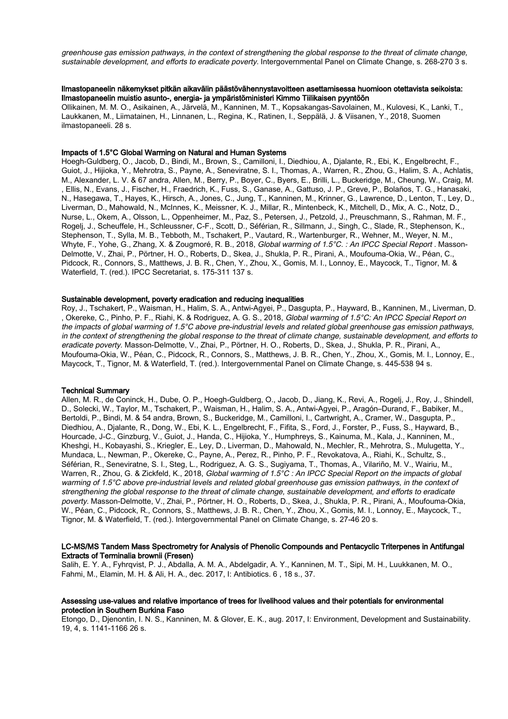greenhouse gas emission pathways, in the context of strengthening the global response to the threat of climate change, sustainable development, and efforts to eradicate poverty. Intergovernmental Panel on Climate Change, s. 268-270 3 s.

# Ilmastopaneelin näkemykset pitkän aikavälin päästövähennystavoitteen asettamisessa huomioon otettavista seikoista: Ilmastopaneelin muistio asunto-, energia- ja ympäristöministeri Kimmo Tiilikaisen pyyntöön

Ollikainen, M. M. O., Asikainen, A., Järvelä, M., Kanninen, M. T., Kopsakangas-Savolainen, M., Kulovesi, K., Lanki, T., Laukkanen, M., Liimatainen, H., Linnanen, L., Regina, K., Ratinen, I., Seppälä, J. & Viisanen, Y., 2018, Suomen ilmastopaneeli. 28 s.

#### Impacts of 1.5°C Global Warming on Natural and Human Systems

Hoegh-Guldberg, O., Jacob, D., Bindi, M., Brown, S., Camilloni, I., Diedhiou, A., Djalante, R., Ebi, K., Engelbrecht, F., Guiot, J., Hijioka, Y., Mehrotra, S., Payne, A., Seneviratne, S. I., Thomas, A., Warren, R., Zhou, G., Halim, S. A., Achlatis, M., Alexander, L. V. & 67 andra, Allen, M., Berry, P., Boyer, C., Byers, E., Brilli, L., Buckeridge, M., Cheung, W., Craig, M. , Ellis, N., Evans, J., Fischer, H., Fraedrich, K., Fuss, S., Ganase, A., Gattuso, J. P., Greve, P., Bolaños, T. G., Hanasaki, N., Hasegawa, T., Hayes, K., Hirsch, A., Jones, C., Jung, T., Kanninen, M., Krinner, G., Lawrence, D., Lenton, T., Ley, D., Liverman, D., Mahowald, N., McInnes, K., Meissner, K. J., Millar, R., Mintenbeck, K., Mitchell, D., Mix, A. C., Notz, D., Nurse, L., Okem, A., Olsson, L., Oppenheimer, M., Paz, S., Petersen, J., Petzold, J., Preuschmann, S., Rahman, M. F., Rogelj, J., Scheuffele, H., Schleussner, C-F., Scott, D., Séférian, R., Sillmann, J., Singh, C., Slade, R., Stephenson, K., Stephenson, T., Sylla, M. B., Tebboth, M., Tschakert, P., Vautard, R., Wartenburger, R., Wehner, M., Weyer, N. M., Whyte, F., Yohe, G., Zhang, X. & Zougmoré, R. B., 2018, Global warming of 1.5°C. : An IPCC Special Report . Masson-Delmotte, V., Zhai, P., Pörtner, H. O., Roberts, D., Skea, J., Shukla, P. R., Pirani, A., Moufouma-Okia, W., Péan, C., Pidcock, R., Connors, S., Matthews, J. B. R., Chen, Y., Zhou, X., Gomis, M. I., Lonnoy, E., Maycock, T., Tignor, M. & Waterfield, T. (red.). IPCC Secretariat, s. 175-311 137 s.

#### Sustainable development, poverty eradication and reducing inequalities

Roy, J., Tschakert, P., Waisman, H., Halim, S. A., Antwi-Agyei, P., Dasgupta, P., Hayward, B., Kanninen, M., Liverman, D. , Okereke, C., Pinho, P. F., Riahi, K. & Rodriguez, A. G. S., 2018, Global warming of 1.5°C: An IPCC Special Report on the impacts of global warming of 1.5°C above pre-industrial levels and related global greenhouse gas emission pathways, in the context of strengthening the global response to the threat of climate change, sustainable development, and efforts to eradicate poverty. Masson-Delmotte, V., Zhai, P., Pörtner, H. O., Roberts, D., Skea, J., Shukla, P. R., Pirani, A., Moufouma-Okia, W., Péan, C., Pidcock, R., Connors, S., Matthews, J. B. R., Chen, Y., Zhou, X., Gomis, M. I., Lonnoy, E., Maycock, T., Tignor, M. & Waterfield, T. (red.). Intergovernmental Panel on Climate Change, s. 445-538 94 s.

#### Technical Summary

Allen, M. R., de Coninck, H., Dube, O. P., Hoegh-Guldberg, O., Jacob, D., Jiang, K., Revi, A., Rogelj, J., Roy, J., Shindell, D., Solecki, W., Taylor, M., Tschakert, P., Waisman, H., Halim, S. A., Antwi-Agyei, P., Aragón–Durand, F., Babiker, M., Bertoldi, P., Bindi, M. & 54 andra, Brown, S., Buckeridge, M., Camilloni, I., Cartwright, A., Cramer, W., Dasgupta, P., Diedhiou, A., Djalante, R., Dong, W., Ebi, K. L., Engelbrecht, F., Fifita, S., Ford, J., Forster, P., Fuss, S., Hayward, B., Hourcade, J-C., Ginzburg, V., Guiot, J., Handa, C., Hijioka, Y., Humphreys, S., Kainuma, M., Kala, J., Kanninen, M., Kheshgi, H., Kobayashi, S., Kriegler, E., Ley, D., Liverman, D., Mahowald, N., Mechler, R., Mehrotra, S., Mulugetta, Y., Mundaca, L., Newman, P., Okereke, C., Payne, A., Perez, R., Pinho, P. F., Revokatova, A., Riahi, K., Schultz, S., Séférian, R., Seneviratne, S. I., Steg, L., Rodriguez, A. G. S., Sugiyama, T., Thomas, A., Vilariño, M. V., Wairiu, M., Warren, R., Zhou, G. & Zickfeld, K., 2018, Global warming of 1.5°C : An IPCC Special Report on the impacts of global warming of 1.5°C above pre-industrial levels and related global greenhouse gas emission pathways, in the context of strengthening the global response to the threat of climate change, sustainable development, and efforts to eradicate poverty. Masson-Delmotte, V., Zhai, P., Pörtner, H. O., Roberts, D., Skea, J., Shukla, P. R., Pirani, A., Moufouma-Okia, W., Péan, C., Pidcock, R., Connors, S., Matthews, J. B. R., Chen, Y., Zhou, X., Gomis, M. I., Lonnoy, E., Maycock, T., Tignor, M. & Waterfield, T. (red.). Intergovernmental Panel on Climate Change, s. 27-46 20 s.

### LC-MS/MS Tandem Mass Spectrometry for Analysis of Phenolic Compounds and Pentacyclic Triterpenes in Antifungal Extracts of Terminalia brownii (Fresen)

Salih, E. Y. A., Fyhrqvist, P. J., Abdalla, A. M. A., Abdelgadir, A. Y., Kanninen, M. T., Sipi, M. H., Luukkanen, M. O., Fahmi, M., Elamin, M. H. & Ali, H. A., dec. 2017, I: Antibiotics. 6 , 18 s., 37.

#### Assessing use-values and relative importance of trees for livelihood values and their potentials for environmental protection in Southern Burkina Faso

Etongo, D., Djenontin, I. N. S., Kanninen, M. & Glover, E. K., aug. 2017, I: Environment, Development and Sustainability. 19, 4, s. 1141-1166 26 s.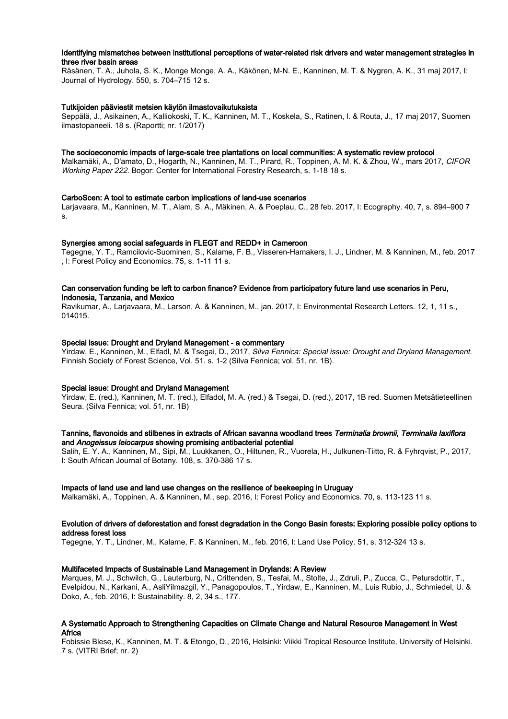# Identifying mismatches between institutional perceptions of water-related risk drivers and water management strategies in three river basin areas

Räsänen, T. A., Juhola, S. K., Monge Monge, A. A., Käkönen, M-N. E., Kanninen, M. T. & Nygren, A. K., 31 maj 2017, I: Journal of Hydrology. 550, s. 704–715 12 s.

#### Tutkijoiden pääviestit metsien käytön ilmastovaikutuksista

Seppälä, J., Asikainen, A., Kalliokoski, T. K., Kanninen, M. T., Koskela, S., Ratinen, I. & Routa, J., 17 maj 2017, Suomen ilmastopaneeli. 18 s. (Raportti; nr. 1/2017)

#### The socioeconomic impacts of large-scale tree plantations on local communities: A systematic review protocol

Malkamäki, A., D'amato, D., Hogarth, N., Kanninen, M. T., Pirard, R., Toppinen, A. M. K. & Zhou, W., mars 2017, CIFOR Working Paper 222. Bogor: Center for International Forestry Research, s. 1-18 18 s.

#### CarboScen: A tool to estimate carbon implications of land-use scenarios

Larjavaara, M., Kanninen, M. T., Alam, S. A., Mäkinen, A. & Poeplau, C., 28 feb. 2017, I: Ecography. 40, 7, s. 894–900 7 s.

### Synergies among social safeguards in FLEGT and REDD+ in Cameroon

Tegegne, Y. T., Ramcilovic-Suominen, S., Kalame, F. B., Visseren-Hamakers, I. J., Lindner, M. & Kanninen, M., feb. 2017 , I: Forest Policy and Economics. 75, s. 1-11 11 s.

# Can conservation funding be left to carbon finance? Evidence from participatory future land use scenarios in Peru, Indonesia, Tanzania, and Mexico

Ravikumar, A., Larjavaara, M., Larson, A. & Kanninen, M., jan. 2017, I: Environmental Research Letters. 12, 1, 11 s., 014015.

#### Special issue: Drought and Dryland Management - a commentary

Yirdaw, E., Kanninen, M., Elfadl, M. & Tsegai, D., 2017, Silva Fennica: Special issue: Drought and Dryland Management. Finnish Society of Forest Science, Vol. 51. s. 1-2 (Silva Fennica; vol. 51, nr. 1B).

### Special issue: Drought and Dryland Management

Yirdaw, E. (red.), Kanninen, M. T. (red.), Elfadol, M. A. (red.) & Tsegai, D. (red.), 2017, 1B red. Suomen Metsätieteellinen Seura. (Silva Fennica; vol. 51, nr. 1B)

# Tannins, flavonoids and stilbenes in extracts of African savanna woodland trees Terminalia brownii, Terminalia laxiflora and Anogeissus leiocarpus showing promising antibacterial potential

Salih, E. Y. A., Kanninen, M., Sipi, M., Luukkanen, O., Hiltunen, R., Vuorela, H., Julkunen-Tiitto, R. & Fyhrqvist, P., 2017, I: South African Journal of Botany. 108, s. 370-386 17 s.

#### Impacts of land use and land use changes on the resilience of beekeeping in Uruguay

Malkamäki, A., Toppinen, A. & Kanninen, M., sep. 2016, I: Forest Policy and Economics. 70, s. 113-123 11 s.

#### Evolution of drivers of deforestation and forest degradation in the Congo Basin forests: Exploring possible policy options to address forest loss

Tegegne, Y. T., Lindner, M., Kalame, F. & Kanninen, M., feb. 2016, I: Land Use Policy. 51, s. 312-324 13 s.

#### Multifaceted Impacts of Sustainable Land Management in Drylands: A Review

Marques, M. J., Schwilch, G., Lauterburg, N., Crittenden, S., Tesfai, M., Stolte, J., Zdruli, P., Zucca, C., Petursdottir, T., Evelpidou, N., Karkani, A., AsliYilmazgil, Y., Panagopoulos, T., Yirdaw, E., Kanninen, M., Luis Rubio, J., Schmiedel, U. & Doko, A., feb. 2016, I: Sustainability. 8, 2, 34 s., 177.

#### A Systematic Approach to Strengthening Capacities on Climate Change and Natural Resource Management in West Africa

Fobissie Blese, K., Kanninen, M. T. & Etongo, D., 2016, Helsinki: Viikki Tropical Resource Institute, University of Helsinki. 7 s. (VITRI Brief; nr. 2)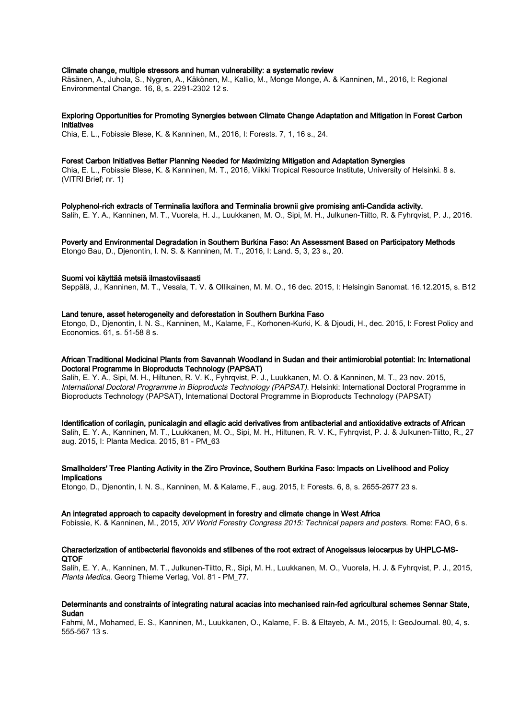#### Climate change, multiple stressors and human vulnerability: a systematic review

Räsänen, A., Juhola, S., Nygren, A., Käkönen, M., Kallio, M., Monge Monge, A. & Kanninen, M., 2016, I: Regional Environmental Change. 16, 8, s. 2291-2302 12 s.

#### Exploring Opportunities for Promoting Synergies between Climate Change Adaptation and Mitigation in Forest Carbon Initiatives

Chia, E. L., Fobissie Blese, K. & Kanninen, M., 2016, I: Forests. 7, 1, 16 s., 24.

#### Forest Carbon Initiatives Better Planning Needed for Maximizing Mitigation and Adaptation Synergies

Chia, E. L., Fobissie Blese, K. & Kanninen, M. T., 2016, Viikki Tropical Resource Institute, University of Helsinki. 8 s. (VITRI Brief; nr. 1)

Polyphenol-rich extracts of Terminalia laxiflora and Terminalia brownii give promising anti-Candida activity.

Salih, E. Y. A., Kanninen, M. T., Vuorela, H. J., Luukkanen, M. O., Sipi, M. H., Julkunen-Tiitto, R. & Fyhrqvist, P. J., 2016.

# Poverty and Environmental Degradation in Southern Burkina Faso: An Assessment Based on Participatory Methods

Etongo Bau, D., Djenontin, I. N. S. & Kanninen, M. T., 2016, I: Land. 5, 3, 23 s., 20.

#### Suomi voi käyttää metsiä ilmastoviisaasti

Seppälä, J., Kanninen, M. T., Vesala, T. V. & Ollikainen, M. M. O., 16 dec. 2015, I: Helsingin Sanomat. 16.12.2015, s. B12

## Land tenure, asset heterogeneity and deforestation in Southern Burkina Faso

Etongo, D., Djenontin, I. N. S., Kanninen, M., Kalame, F., Korhonen-Kurki, K. & Djoudi, H., dec. 2015, I: Forest Policy and Economics. 61, s. 51-58 8 s.

### African Traditional Medicinal Plants from Savannah Woodland in Sudan and their antimicrobial potential: In: International Doctoral Programme in Bioproducts Technology (PAPSAT)

Salih, E. Y. A., Sipi, M. H., Hiltunen, R. V. K., Fyhrqvist, P. J., Luukkanen, M. O. & Kanninen, M. T., 23 nov. 2015, International Doctoral Programme in Bioproducts Technology (PAPSAT). Helsinki: International Doctoral Programme in Bioproducts Technology (PAPSAT), International Doctoral Programme in Bioproducts Technology (PAPSAT)

#### Identification of corilagin, punicalagin and ellagic acid derivatives from antibacterial and antioxidative extracts of African

Salih, E. Y. A., Kanninen, M. T., Luukkanen, M. O., Sipi, M. H., Hiltunen, R. V. K., Fyhrqvist, P. J. & Julkunen-Tiitto, R., 27 aug. 2015, I: Planta Medica. 2015, 81 - PM\_63

# Smallholders' Tree Planting Activity in the Ziro Province, Southern Burkina Faso: Impacts on Livelihood and Policy Implications

Etongo, D., Djenontin, I. N. S., Kanninen, M. & Kalame, F., aug. 2015, I: Forests. 6, 8, s. 2655-2677 23 s.

#### An integrated approach to capacity development in forestry and climate change in West Africa

Fobissie, K. & Kanninen, M., 2015, XIV World Forestry Congress 2015: Technical papers and posters. Rome: FAO, 6 s.

# Characterization of antibacterial flavonoids and stilbenes of the root extract of Anogeissus leiocarpus by UHPLC-MS-**QTOF**

Salih, E. Y. A., Kanninen, M. T., Julkunen-Tiitto, R., Sipi, M. H., Luukkanen, M. O., Vuorela, H. J. & Fyhrqvist, P. J., 2015, Planta Medica. Georg Thieme Verlag, Vol. 81 - PM\_77.

# Determinants and constraints of integrating natural acacias into mechanised rain-fed agricultural schemes Sennar State, Sudan

Fahmi, M., Mohamed, E. S., Kanninen, M., Luukkanen, O., Kalame, F. B. & Eltayeb, A. M., 2015, I: GeoJournal. 80, 4, s. 555-567 13 s.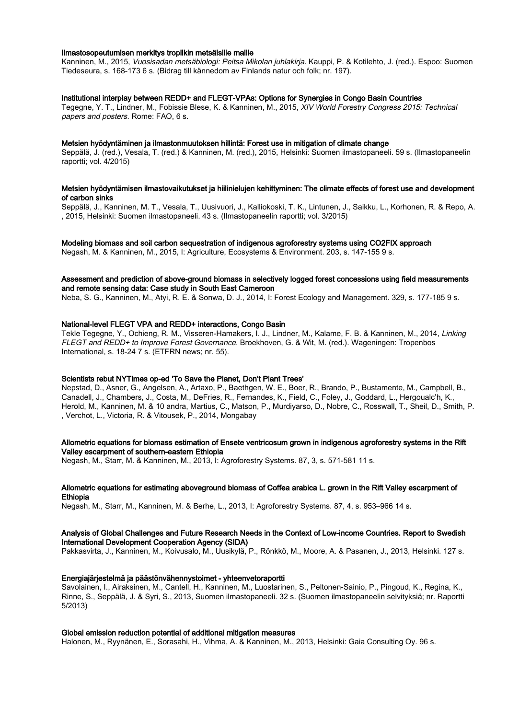#### Ilmastosopeutumisen merkitys tropiikin metsäisille maille

Kanninen, M., 2015, Vuosisadan metsäbiologi: Peitsa Mikolan juhlakirja. Kauppi, P. & Kotilehto, J. (red.). Espoo: Suomen Tiedeseura, s. 168-173 6 s. (Bidrag till kännedom av Finlands natur och folk; nr. 197).

### Institutional interplay between REDD+ and FLEGT-VPAs: Options for Synergies in Congo Basin Countries

Tegegne, Y. T., Lindner, M., Fobissie Blese, K. & Kanninen, M., 2015, XIV World Forestry Congress 2015: Technical papers and posters. Rome: FAO, 6 s.

#### Metsien hyödyntäminen ja ilmastonmuutoksen hillintä: Forest use in mitigation of climate change

Seppälä, J. (red.), Vesala, T. (red.) & Kanninen, M. (red.), 2015, Helsinki: Suomen ilmastopaneeli. 59 s. (Ilmastopaneelin raportti; vol. 4/2015)

## Metsien hyödyntämisen ilmastovaikutukset ja hiilinielujen kehittyminen: The climate effects of forest use and development of carbon sinks

Seppälä, J., Kanninen, M. T., Vesala, T., Uusivuori, J., Kalliokoski, T. K., Lintunen, J., Saikku, L., Korhonen, R. & Repo, A. , 2015, Helsinki: Suomen ilmastopaneeli. 43 s. (Ilmastopaneelin raportti; vol. 3/2015)

### Modeling biomass and soil carbon sequestration of indigenous agroforestry systems using CO2FIX approach

Negash, M. & Kanninen, M., 2015, I: Agriculture, Ecosystems & Environment. 203, s. 147-155 9 s.

# Assessment and prediction of above-ground biomass in selectively logged forest concessions using field measurements and remote sensing data: Case study in South East Cameroon

Neba, S. G., Kanninen, M., Atyi, R. E. & Sonwa, D. J., 2014, I: Forest Ecology and Management. 329, s. 177-185 9 s.

#### National-level FLEGT VPA and REDD+ interactions, Congo Basin

Tekle Tegegne, Y., Ochieng, R. M., Visseren-Hamakers, I. J., Lindner, M., Kalame, F. B. & Kanninen, M., 2014, Linking FLEGT and REDD+ to Improve Forest Governance. Broekhoven, G. & Wit, M. (red.). Wageningen: Tropenbos International, s. 18-24 7 s. (ETFRN news; nr. 55).

#### Scientists rebut NYTimes op-ed 'To Save the Planet, Don't Plant Trees'

Nepstad, D., Asner, G., Angelsen, A., Artaxo, P., Baethgen, W. E., Boer, R., Brando, P., Bustamente, M., Campbell, B., Canadell, J., Chambers, J., Costa, M., DeFries, R., Fernandes, K., Field, C., Foley, J., Goddard, L., Hergoualc'h, K., Herold, M., Kanninen, M. & 10 andra, Martius, C., Matson, P., Murdiyarso, D., Nobre, C., Rosswall, T., Sheil, D., Smith, P. , Verchot, L., Victoria, R. & Vitousek, P., 2014, Mongabay

## Allometric equations for biomass estimation of Ensete ventricosum grown in indigenous agroforestry systems in the Rift Valley escarpment of southern-eastern Ethiopia

Negash, M., Starr, M. & Kanninen, M., 2013, I: Agroforestry Systems. 87, 3, s. 571-581 11 s.

#### Allometric equations for estimating aboveground biomass of Coffea arabica L. grown in the Rift Valley escarpment of **Ethiopia**

Negash, M., Starr, M., Kanninen, M. & Berhe, L., 2013, I: Agroforestry Systems. 87, 4, s. 953–966 14 s.

# Analysis of Global Challenges and Future Research Needs in the Context of Low-income Countries. Report to Swedish International Development Cooperation Agency (SIDA)

Pakkasvirta, J., Kanninen, M., Koivusalo, M., Uusikylä, P., Rönkkö, M., Moore, A. & Pasanen, J., 2013, Helsinki. 127 s.

#### Energiajärjestelmä ja päästönvähennystoimet - yhteenvetoraportti

Savolainen, I., Airaksinen, M., Cantell, H., Kanninen, M., Luostarinen, S., Peltonen-Sainio, P., Pingoud, K., Regina, K., Rinne, S., Seppälä, J. & Syri, S., 2013, Suomen ilmastopaneeli. 32 s. (Suomen ilmastopaneelin selvityksiä; nr. Raportti 5/2013)

#### Global emission reduction potential of additional mitigation measures

Halonen, M., Ryynänen, E., Sorasahi, H., Vihma, A. & Kanninen, M., 2013, Helsinki: Gaia Consulting Oy. 96 s.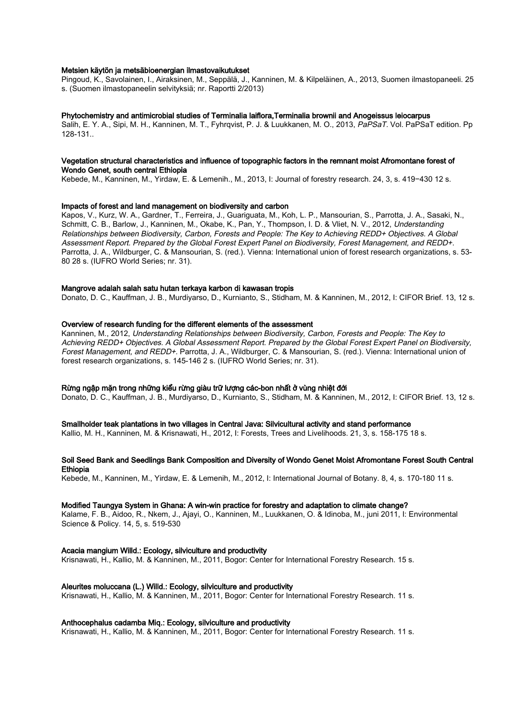#### Metsien käytön ja metsäbioenergian ilmastovaikutukset

Pingoud, K., Savolainen, I., Airaksinen, M., Seppälä, J., Kanninen, M. & Kilpeläinen, A., 2013, Suomen ilmastopaneeli. 25 s. (Suomen ilmastopaneelin selvityksiä; nr. Raportti 2/2013)

#### Phytochemistry and antimicrobial studies of Terminalia laiflora,Terminalia brownii and Anogeissus leiocarpus

Salih, E. Y. A., Sipi, M. H., Kanninen, M. T., Fyhrqvist, P. J. & Luukkanen, M. O., 2013, PaPSaT. Vol. PaPSaT edition. Pp 128-131..

### Vegetation structural characteristics and influence of topographic factors in the remnant moist Afromontane forest of Wondo Genet, south central Ethiopia

Kebede, M., Kanninen, M., Yirdaw, E. & Lemenih., M., 2013, I: Journal of forestry research. 24, 3, s. 419−430 12 s.

#### Impacts of forest and land management on biodiversity and carbon

Kapos, V., Kurz, W. A., Gardner, T., Ferreira, J., Guariguata, M., Koh, L. P., Mansourian, S., Parrotta, J. A., Sasaki, N., Schmitt, C. B., Barlow, J., Kanninen, M., Okabe, K., Pan, Y., Thompson, I. D. & Vliet, N. V., 2012, Understanding Relationships between Biodiversity, Carbon, Forests and People: The Key to Achieving REDD+ Objectives. A Global Assessment Report. Prepared by the Global Forest Expert Panel on Biodiversity, Forest Management, and REDD+. Parrotta, J. A., Wildburger, C. & Mansourian, S. (red.). Vienna: International union of forest research organizations, s. 53- 80 28 s. (IUFRO World Series; nr. 31).

### Mangrove adalah salah satu hutan terkaya karbon di kawasan tropis

Donato, D. C., Kauffman, J. B., Murdiyarso, D., Kurnianto, S., Stidham, M. & Kanninen, M., 2012, I: CIFOR Brief. 13, 12 s.

# Overview of research funding for the different elements of the assessment

Kanninen, M., 2012, Understanding Relationships between Biodiversity, Carbon, Forests and People: The Key to Achieving REDD+ Objectives. A Global Assessment Report. Prepared by the Global Forest Expert Panel on Biodiversity, Forest Management, and REDD+. Parrotta, J. A., Wildburger, C. & Mansourian, S. (red.). Vienna: International union of forest research organizations, s. 145-146 2 s. (IUFRO World Series; nr. 31).

#### Rừng ngập mặn trong những kiểu rừng giàu trữ lượng các-bon nhất ở vùng nhiệt đới

Donato, D. C., Kauffman, J. B., Murdiyarso, D., Kurnianto, S., Stidham, M. & Kanninen, M., 2012, I: CIFOR Brief. 13, 12 s.

#### Smallholder teak plantations in two villages in Central Java: Silvicultural activity and stand performance

Kallio, M. H., Kanninen, M. & Krisnawati, H., 2012, I: Forests, Trees and Livelihoods. 21, 3, s. 158-175 18 s.

# Soil Seed Bank and Seedlings Bank Composition and Diversity of Wondo Genet Moist Afromontane Forest South Central Ethiopia

Kebede, M., Kanninen, M., Yirdaw, E. & Lemenih, M., 2012, I: International Journal of Botany. 8, 4, s. 170-180 11 s.

#### Modified Taungya System in Ghana: A win-win practice for forestry and adaptation to climate change?

Kalame, F. B., Aidoo, R., Nkem, J., Ajayi, O., Kanninen, M., Luukkanen, O. & Idinoba, M., juni 2011, I: Environmental Science & Policy. 14, 5, s. 519-530

#### Acacia mangium Willd.: Ecology, silviculture and productivity

Krisnawati, H., Kallio, M. & Kanninen, M., 2011, Bogor: Center for International Forestry Research. 15 s.

#### Aleurites moluccana (L.) Willd.: Ecology, silviculture and productivity

Krisnawati, H., Kallio, M. & Kanninen, M., 2011, Bogor: Center for International Forestry Research. 11 s.

#### Anthocephalus cadamba Miq.: Ecology, silviculture and productivity

Krisnawati, H., Kallio, M. & Kanninen, M., 2011, Bogor: Center for International Forestry Research. 11 s.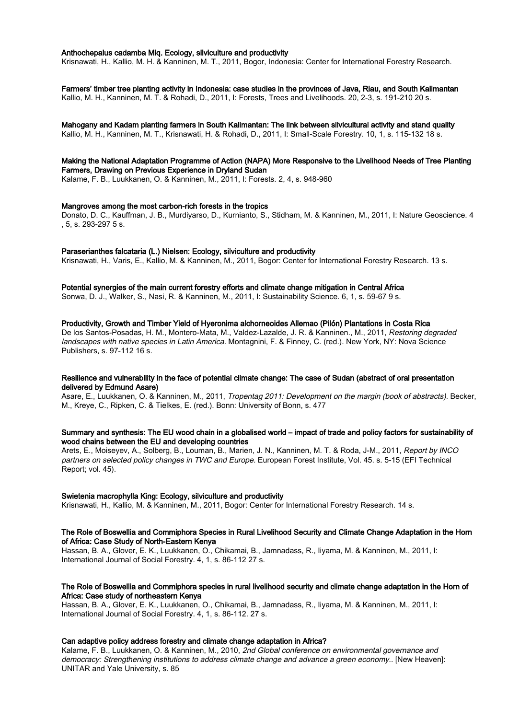#### Anthochepalus cadamba Miq. Ecology, silviculture and productivity

Krisnawati, H., Kallio, M. H. & Kanninen, M. T., 2011, Bogor, Indonesia: Center for International Forestry Research.

#### Farmers' timber tree planting activity in Indonesia: case studies in the provinces of Java, Riau, and South Kalimantan

Kallio, M. H., Kanninen, M. T. & Rohadi, D., 2011, I: Forests, Trees and Livelihoods. 20, 2-3, s. 191-210 20 s.

#### Mahogany and Kadam planting farmers in South Kalimantan: The link between silvicultural activity and stand quality

Kallio, M. H., Kanninen, M. T., Krisnawati, H. & Rohadi, D., 2011, I: Small-Scale Forestry. 10, 1, s. 115-132 18 s.

# Making the National Adaptation Programme of Action (NAPA) More Responsive to the Livelihood Needs of Tree Planting Farmers, Drawing on Previous Experience in Dryland Sudan

Kalame, F. B., Luukkanen, O. & Kanninen, M., 2011, I: Forests. 2, 4, s. 948-960

#### Mangroves among the most carbon-rich forests in the tropics

Donato, D. C., Kauffman, J. B., Murdiyarso, D., Kurnianto, S., Stidham, M. & Kanninen, M., 2011, I: Nature Geoscience. 4 , 5, s. 293-297 5 s.

#### Paraserianthes falcataria (L.) Nielsen: Ecology, silviculture and productivity

Krisnawati, H., Varis, E., Kallio, M. & Kanninen, M., 2011, Bogor: Center for International Forestry Research. 13 s.

# Potential synergies of the main current forestry efforts and climate change mitigation in Central Africa

Sonwa, D. J., Walker, S., Nasi, R. & Kanninen, M., 2011, I: Sustainability Science. 6, 1, s. 59-67 9 s.

#### Productivity, Growth and Timber Yield of Hyeronima alchorneoides Allemao (Pilón) Plantations in Costa Rica

De los Santos-Posadas, H. M., Montero-Mata, M., Valdez-Lazalde, J. R. & Kanninen., M., 2011, Restoring degraded landscapes with native species in Latin America. Montagnini, F. & Finney, C. (red.). New York, NY: Nova Science Publishers, s. 97-112 16 s.

### Resilience and vulnerability in the face of potential climate change: The case of Sudan (abstract of oral presentation delivered by Edmund Asare)

Asare, E., Luukkanen, O. & Kanninen, M., 2011, Tropentag 2011: Development on the margin (book of abstracts). Becker, M., Kreye, C., Ripken, C. & Tielkes, E. (red.). Bonn: University of Bonn, s. 477

#### Summary and synthesis: The EU wood chain in a globalised world – impact of trade and policy factors for sustainability of wood chains between the EU and developing countries

Arets, E., Moiseyev, A., Solberg, B., Louman, B., Marien, J. N., Kanninen, M. T. & Roda, J-M., 2011, Report by INCO partners on selected policy changes in TWC and Europe. European Forest Institute, Vol. 45. s. 5-15 (EFI Technical Report; vol. 45).

#### Swietenia macrophylla King: Ecology, silviculture and productivity

Krisnawati, H., Kallio, M. & Kanninen, M., 2011, Bogor: Center for International Forestry Research. 14 s.

#### The Role of Boswellia and Commiphora Species in Rural Livelihood Security and Climate Change Adaptation in the Horn of Africa: Case Study of North-Eastern Kenya

Hassan, B. A., Glover, E. K., Luukkanen, O., Chikamai, B., Jamnadass, R., Iiyama, M. & Kanninen, M., 2011, I: International Journal of Social Forestry. 4, 1, s. 86-112 27 s.

# The Role of Boswellia and Commiphora species in rural livelihood security and climate change adaptation in the Horn of Africa: Case study of northeastern Kenya

Hassan, B. A., Glover, E. K., Luukkanen, O., Chikamai, B., Jamnadass, R., Iiyama, M. & Kanninen, M., 2011, I: International Journal of Social Forestry. 4, 1, s. 86-112. 27 s.

#### Can adaptive policy address forestry and climate change adaptation in Africa?

Kalame, F. B., Luukkanen, O. & Kanninen, M., 2010, 2nd Global conference on environmental governance and democracy: Strengthening institutions to address climate change and advance a green economy.. [New Heaven]: UNITAR and Yale University, s. 85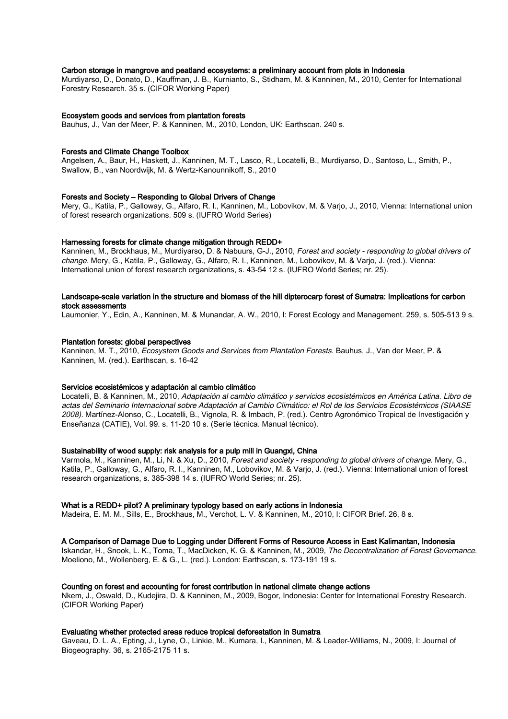### Carbon storage in mangrove and peatland ecosystems: a preliminary account from plots in Indonesia

Murdiyarso, D., Donato, D., Kauffman, J. B., Kurnianto, S., Stidham, M. & Kanninen, M., 2010, Center for International Forestry Research. 35 s. (CIFOR Working Paper)

#### Ecosystem goods and services from plantation forests

Bauhus, J., Van der Meer, P. & Kanninen, M., 2010, London, UK: Earthscan. 240 s.

#### Forests and Climate Change Toolbox

Angelsen, A., Baur, H., Haskett, J., Kanninen, M. T., Lasco, R., Locatelli, B., Murdiyarso, D., Santoso, L., Smith, P., Swallow, B., van Noordwijk, M. & Wertz-Kanounnikoff, S., 2010

# Forests and Society – Responding to Global Drivers of Change

Mery, G., Katila, P., Galloway, G., Alfaro, R. I., Kanninen, M., Lobovikov, M. & Varjo, J., 2010, Vienna: International union of forest research organizations. 509 s. (IUFRO World Series)

#### Harnessing forests for climate change mitigation through REDD+

Kanninen, M., Brockhaus, M., Murdiyarso, D. & Nabuurs, G-J., 2010, Forest and society - responding to global drivers of change. Mery, G., Katila, P., Galloway, G., Alfaro, R. I., Kanninen, M., Lobovikov, M. & Varjo, J. (red.). Vienna: International union of forest research organizations, s. 43-54 12 s. (IUFRO World Series; nr. 25).

# Landscape-scale variation in the structure and biomass of the hill dipterocarp forest of Sumatra: Implications for carbon stock assessments

Laumonier, Y., Edin, A., Kanninen, M. & Munandar, A. W., 2010, I: Forest Ecology and Management. 259, s. 505-513 9 s.

#### Plantation forests: global perspectives

Kanninen, M. T., 2010, Ecosystem Goods and Services from Plantation Forests. Bauhus, J., Van der Meer, P. & Kanninen, M. (red.). Earthscan, s. 16-42

### Servicios ecosistémicos y adaptación al cambio climático

Locatelli, B. & Kanninen, M., 2010, Adaptación al cambio climático y servicios ecosistémicos en América Latina. Libro de actas del Seminario Internacional sobre Adaptación al Cambio Climático: el Rol de los Servicios Ecosistémicos (SIAASE 2008). Martínez-Alonso, C., Locatelli, B., Vignola, R. & Imbach, P. (red.). Centro Agronómico Tropical de Investigación y Enseñanza (CATIE), Vol. 99. s. 11-20 10 s. (Serie técnica. Manual técnico).

# Sustainability of wood supply: risk analysis for a pulp mill in Guangxi, China

Varmola, M., Kanninen, M., Li, N. & Xu, D., 2010, Forest and society - responding to global drivers of change. Mery, G., Katila, P., Galloway, G., Alfaro, R. I., Kanninen, M., Lobovikov, M. & Varjo, J. (red.). Vienna: International union of forest research organizations, s. 385-398 14 s. (IUFRO World Series; nr. 25).

#### What is a REDD+ pilot? A preliminary typology based on early actions in Indonesia

Madeira, E. M. M., Sills, E., Brockhaus, M., Verchot, L. V. & Kanninen, M., 2010, I: CIFOR Brief. 26, 8 s.

#### A Comparison of Damage Due to Logging under Different Forms of Resource Access in East Kalimantan, Indonesia

Iskandar, H., Snook, L. K., Toma, T., MacDicken, K. G. & Kanninen, M., 2009, The Decentralization of Forest Governance. Moeliono, M., Wollenberg, E. & G., L. (red.). London: Earthscan, s. 173-191 19 s.

#### Counting on forest and accounting for forest contribution in national climate change actions

Nkem, J., Oswald, D., Kudejira, D. & Kanninen, M., 2009, Bogor, Indonesia: Center for International Forestry Research. (CIFOR Working Paper)

#### Evaluating whether protected areas reduce tropical deforestation in Sumatra

Gaveau, D. L. A., Epting, J., Lyne, O., Linkie, M., Kumara, I., Kanninen, M. & Leader-Williams, N., 2009, I: Journal of Biogeography. 36, s. 2165-2175 11 s.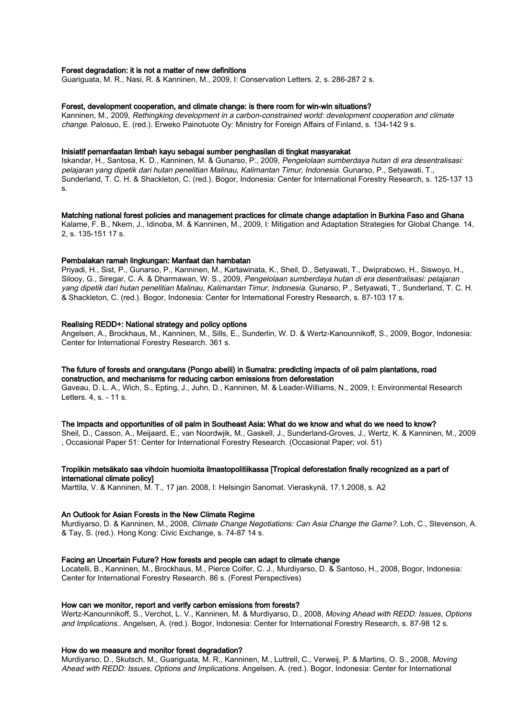#### Forest degradation: it is not a matter of new definitions

Guariguata, M. R., Nasi, R. & Kanninen, M., 2009, I: Conservation Letters. 2, s. 286-287 2 s.

#### Forest, development cooperation, and climate change: is there room for win-win situations?

Kanninen, M., 2009, Rethingking development in a carbon-constrained world: development cooperation and climate change. Palosuo, E. (red.). Erweko Painotuote Oy: Ministry for Foreign Affairs of Finland, s. 134-142 9 s.

#### Inisiatif pemanfaatan limbah kayu sebagai sumber penghasilan di tingkat masyarakat

Iskandar, H., Santosa, K. D., Kanninen, M. & Gunarso, P., 2009, Pengelolaan sumberdaya hutan di era desentralisasi: pelajaran yang dipetik dari hutan penelitian Malinau, Kalimantan Timur, Indonesia. Gunarso, P., Setyawati, T., Sunderland, T. C. H. & Shackleton, C. (red.). Bogor, Indonesia: Center for International Forestry Research, s. 125-137 13 s.

#### Matching national forest policies and management practices for climate change adaptation in Burkina Faso and Ghana

Kalame, F. B., Nkem, J., Idinoba, M. & Kanninen, M., 2009, I: Mitigation and Adaptation Strategies for Global Change. 14, 2, s. 135-151 17 s.

#### Pembalakan ramah lingkungan: Manfaat dan hambatan

Priyadi, H., Sist, P., Gunarso, P., Kanninen, M., Kartawinata, K., Sheil, D., Setyawati, T., Dwiprabowo, H., Siswoyo, H., Silooy, G., Siregar, C. A. & Dharmawan, W. S., 2009, Pengelolaan sumberdaya hutan di era desentralisasi: pelajaran yang dipetik dari hutan penelitian Malinau, Kalimantan Timur, Indonesia. Gunarso, P., Setyawati, T., Sunderland, T. C. H. & Shackleton, C. (red.). Bogor, Indonesia: Center for International Forestry Research, s. 87-103 17 s.

# Realising REDD+: National strategy and policy options

Angelsen, A., Brockhaus, M., Kanninen, M., Sills, E., Sunderlin, W. D. & Wertz-Kanounnikoff, S., 2009, Bogor, Indonesia: Center for International Forestry Research. 361 s.

### The future of forests and orangutans (Pongo abelii) in Sumatra: predicting impacts of oil palm plantations, road construction, and mechanisms for reducing carbon emissions from deforestation

Gaveau, D. L. A., Wich, S., Epting, J., Juhn, D., Kanninen, M. & Leader-Williams, N., 2009, I: Environmental Research Letters. 4, s. - 11 s.

#### The impacts and opportunities of oil palm in Southeast Asia: What do we know and what do we need to know?

Sheil, D., Casson, A., Meijaard, E., van Noordwjik, M., Gaskell, J., Sunderland-Groves, J., Wertz, K. & Kanninen, M., 2009 , Occasional Paper 51: Center for International Forestry Research. (Occasional Paper; vol. 51)

# Tropiikin metsäkato saa vihdoin huomioita ilmastopolitiikassa [Tropical deforestation finally recognized as a part of international climate policy]

Marttila, V. & Kanninen, M. T., 17 jan. 2008, I: Helsingin Sanomat. Vieraskynä, 17.1.2008, s. A2

#### An Outlook for Asian Forests in the New Climate Regime

Murdiyarso, D. & Kanninen, M., 2008, Climate Change Negotiations: Can Asia Change the Game?. Loh, C., Stevenson, A. & Tay, S. (red.). Hong Kong: Civic Exchange, s. 74-87 14 s.

#### Facing an Uncertain Future? How forests and people can adapt to climate change

Locatelli, B., Kanninen, M., Brockhaus, M., Pierce Colfer, C. J., Murdiyarso, D. & Santoso, H., 2008, Bogor, Indonesia: Center for International Forestry Research. 86 s. (Forest Perspectives)

#### How can we monitor, report and verify carbon emissions from forests?

Wertz-Kanounnikoff, S., Verchot, L. V., Kanninen, M. & Murdiyarso, D., 2008, Moving Ahead with REDD: Issues, Options and Implications.. Angelsen, A. (red.). Bogor, Indonesia: Center for International Forestry Research, s. 87-98 12 s.

# How do we measure and monitor forest degradation?

Murdiyarso, D., Skutsch, M., Guariguata, M. R., Kanninen, M., Luttrell, C., Verweij, P. & Martins, O. S., 2008, Moving Ahead with REDD: Issues, Options and Implications. Angelsen, A. (red.). Bogor, Indonesia: Center for International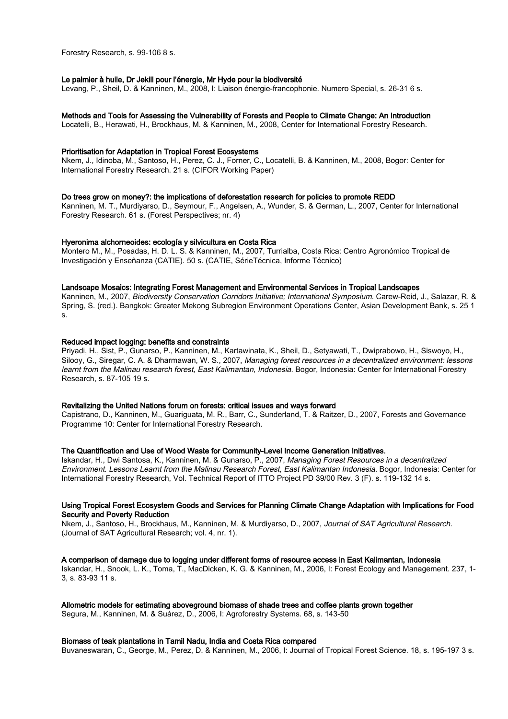Forestry Research, s. 99-106 8 s.

#### Le palmier à huile, Dr Jekill pour l'énergie, Mr Hyde pour la biodiversité

Levang, P., Sheil, D. & Kanninen, M., 2008, I: Liaison énergie-francophonie. Numero Special, s. 26-31 6 s.

#### Methods and Tools for Assessing the Vulnerability of Forests and People to Climate Change: An Introduction

Locatelli, B., Herawati, H., Brockhaus, M. & Kanninen, M., 2008, Center for International Forestry Research.

# Prioritisation for Adaptation in Tropical Forest Ecosystems

Nkem, J., Idinoba, M., Santoso, H., Perez, C. J., Forner, C., Locatelli, B. & Kanninen, M., 2008, Bogor: Center for International Forestry Research. 21 s. (CIFOR Working Paper)

#### Do trees grow on money?: the implications of deforestation research for policies to promote REDD

Kanninen, M. T., Murdiyarso, D., Seymour, F., Angelsen, A., Wunder, S. & German, L., 2007, Center for International Forestry Research. 61 s. (Forest Perspectives; nr. 4)

#### Hyeronima alchorneoides: ecología y silvicultura en Costa Rica

Montero M., M., Posadas, H. D. L. S. & Kanninen, M., 2007, Turrialba, Costa Rica: Centro Agronómico Tropical de Investigación y Enseñanza (CATIE). 50 s. (CATIE, SérieTécnica, Informe Técnico)

#### Landscape Mosaics: Integrating Forest Management and Environmental Services in Tropical Landscapes

Kanninen, M., 2007, Biodiversity Conservation Corridors Initiative; International Symposium. Carew-Reid, J., Salazar, R. & Spring, S. (red.). Bangkok: Greater Mekong Subregion Environment Operations Center, Asian Development Bank, s. 25 1 s.

#### Reduced impact logging: benefits and constraints

Priyadi, H., Sist, P., Gunarso, P., Kanninen, M., Kartawinata, K., Sheil, D., Setyawati, T., Dwiprabowo, H., Siswoyo, H., Silooy, G., Siregar, C. A. & Dharmawan, W. S., 2007, Managing forest resources in a decentralized environment: lessons learnt from the Malinau research forest, East Kalimantan, Indonesia. Bogor, Indonesia: Center for International Forestry Research, s. 87-105 19 s.

# Revitalizing the United Nations forum on forests: critical issues and ways forward

Capistrano, D., Kanninen, M., Guariguata, M. R., Barr, C., Sunderland, T. & Raitzer, D., 2007, Forests and Governance Programme 10: Center for International Forestry Research.

# The Quantification and Use of Wood Waste for Community-Level Income Generation Initiatives.

Iskandar, H., Dwi Santosa, K., Kanninen, M. & Gunarso, P., 2007, Managing Forest Resources in a decentralized Environment. Lessons Learnt from the Malinau Research Forest, East Kalimantan Indonesia. Bogor, Indonesia: Center for International Forestry Research, Vol. Technical Report of ITTO Project PD 39/00 Rev. 3 (F). s. 119-132 14 s.

# Using Tropical Forest Ecosystem Goods and Services for Planning Climate Change Adaptation with Implications for Food Security and Poverty Reduction

Nkem, J., Santoso, H., Brockhaus, M., Kanninen, M. & Murdiyarso, D., 2007, Journal of SAT Agricultural Research. (Journal of SAT Agricultural Research; vol. 4, nr. 1).

# A comparison of damage due to logging under different forms of resource access in East Kalimantan, Indonesia

Iskandar, H., Snook, L. K., Toma, T., MacDicken, K. G. & Kanninen, M., 2006, I: Forest Ecology and Management. 237, 1- 3, s. 83-93 11 s.

# Allometric models for estimating aboveground biomass of shade trees and coffee plants grown together

Segura, M., Kanninen, M. & Suárez, D., 2006, I: Agroforestry Systems. 68, s. 143-50

#### Biomass of teak plantations in Tamil Nadu, India and Costa Rica compared

Buvaneswaran, C., George, M., Perez, D. & Kanninen, M., 2006, I: Journal of Tropical Forest Science. 18, s. 195-197 3 s.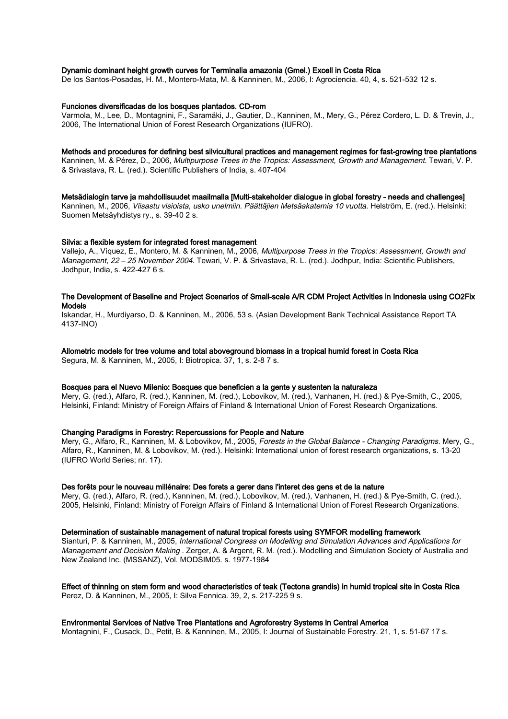### Dynamic dominant height growth curves for Terminalia amazonia (Gmel.) Excell in Costa Rica

De los Santos-Posadas, H. M., Montero-Mata, M. & Kanninen, M., 2006, I: Agrociencia. 40, 4, s. 521-532 12 s.

#### Funciones diversificadas de los bosques plantados. CD-rom

Varmola, M., Lee, D., Montagnini, F., Saramäki, J., Gautier, D., Kanninen, M., Mery, G., Pérez Cordero, L. D. & Trevin, J., 2006, The International Union of Forest Research Organizations (IUFRO).

#### Methods and procedures for defining best silvicultural practices and management regimes for fast-growing tree plantations

Kanninen, M. & Pérez, D., 2006, Multipurpose Trees in the Tropics: Assessment, Growth and Management. Tewari, V. P. & Srivastava, R. L. (red.). Scientific Publishers of India, s. 407-404

Metsädialogin tarve ja mahdollisuudet maailmalla [Multi-stakeholder dialogue in global forestry - needs and challenges]

Kanninen, M., 2006, Viisastu visioista, usko unelmiin. Päättäjien Metsäakatemia 10 vuotta. Helström, E. (red.). Helsinki: Suomen Metsäyhdistys ry., s. 39-40 2 s.

#### Silvia: a flexible system for integrated forest management

Vallejo, A., Víquez, E., Montero, M. & Kanninen, M., 2006, Multipurpose Trees in the Tropics: Assessment, Growth and Management, 22 – 25 November 2004. Tewari, V. P. & Srivastava, R. L. (red.). Jodhpur, India: Scientific Publishers, Jodhpur, India, s. 422-427 6 s.

# The Development of Baseline and Project Scenarios of Small-scale A/R CDM Project Activities in Indonesia using CO2Fix Models

Iskandar, H., Murdiyarso, D. & Kanninen, M., 2006, 53 s. (Asian Development Bank Technical Assistance Report TA 4137-INO)

# Allometric models for tree volume and total aboveground biomass in a tropical humid forest in Costa Rica

Segura, M. & Kanninen, M., 2005, I: Biotropica. 37, 1, s. 2-8 7 s.

### Bosques para el Nuevo Milenio: Bosques que beneficien a la gente y sustenten la naturaleza

Mery, G. (red.), Alfaro, R. (red.), Kanninen, M. (red.), Lobovikov, M. (red.), Vanhanen, H. (red.) & Pye-Smith, C., 2005, Helsinki, Finland: Ministry of Foreign Affairs of Finland & International Union of Forest Research Organizations.

# Changing Paradigms in Forestry: Repercussions for People and Nature

Mery, G., Alfaro, R., Kanninen, M. & Lobovikov, M., 2005, Forests in the Global Balance - Changing Paradigms. Mery, G., Alfaro, R., Kanninen, M. & Lobovikov, M. (red.). Helsinki: International union of forest research organizations, s. 13-20 (IUFRO World Series; nr. 17).

#### Des forêts pour le nouveau millénaire: Des forets a gerer dans l'interet des gens et de la nature

Mery, G. (red.), Alfaro, R. (red.), Kanninen, M. (red.), Lobovikov, M. (red.), Vanhanen, H. (red.) & Pye-Smith, C. (red.), 2005, Helsinki, Finland: Ministry of Foreign Affairs of Finland & International Union of Forest Research Organizations.

#### Determination of sustainable management of natural tropical forests using SYMFOR modelling framework

Sianturi, P. & Kanninen, M., 2005, International Congress on Modelling and Simulation Advances and Applications for Management and Decision Making . Zerger, A. & Argent, R. M. (red.). Modelling and Simulation Society of Australia and New Zealand Inc. (MSSANZ), Vol. MODSIM05. s. 1977-1984

#### Effect of thinning on stem form and wood characteristics of teak (Tectona grandis) in humid tropical site in Costa Rica Perez, D. & Kanninen, M., 2005, I: Silva Fennica. 39, 2, s. 217-225 9 s.

# Environmental Services of Native Tree Plantations and Agroforestry Systems in Central America

Montagnini, F., Cusack, D., Petit, B. & Kanninen, M., 2005, I: Journal of Sustainable Forestry. 21, 1, s. 51-67 17 s.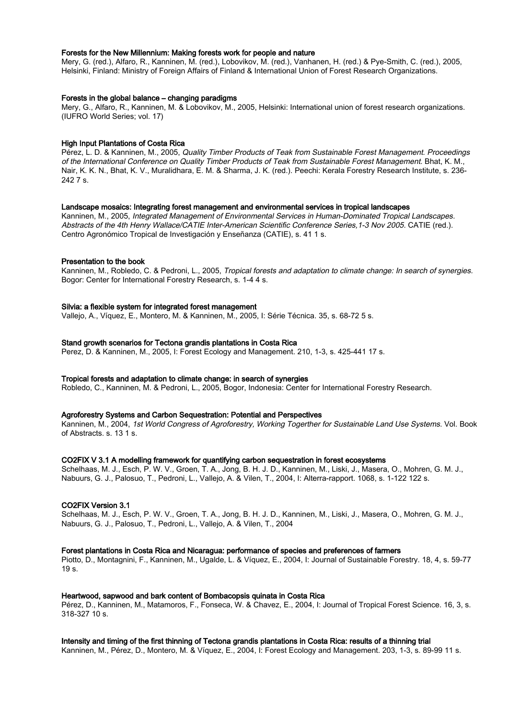# Forests for the New Millennium: Making forests work for people and nature

Mery, G. (red.), Alfaro, R., Kanninen, M. (red.), Lobovikov, M. (red.), Vanhanen, H. (red.) & Pye-Smith, C. (red.), 2005, Helsinki, Finland: Ministry of Foreign Affairs of Finland & International Union of Forest Research Organizations.

#### Forests in the global balance – changing paradigms

Mery, G., Alfaro, R., Kanninen, M. & Lobovikov, M., 2005, Helsinki: International union of forest research organizations. (IUFRO World Series; vol. 17)

### High Input Plantations of Costa Rica

Pérez, L. D. & Kanninen, M., 2005, Quality Timber Products of Teak from Sustainable Forest Management. Proceedings of the International Conference on Quality Timber Products of Teak from Sustainable Forest Management. Bhat, K. M., Nair, K. K. N., Bhat, K. V., Muralidhara, E. M. & Sharma, J. K. (red.). Peechi: Kerala Forestry Research Institute, s. 236- 242 7 s.

#### Landscape mosaics: Integrating forest management and environmental services in tropical landscapes

Kanninen, M., 2005, Integrated Management of Environmental Services in Human-Dominated Tropical Landscapes. Abstracts of the 4th Henry Wallace/CATIE Inter-American Scientific Conference Series,1-3 Nov 2005. CATIE (red.). Centro Agronómico Tropical de Investigación y Enseñanza (CATIE), s. 41 1 s.

#### Presentation to the book

Kanninen, M., Robledo, C. & Pedroni, L., 2005, Tropical forests and adaptation to climate change: In search of synergies. Bogor: Center for International Forestry Research, s. 1-4 4 s.

#### Silvia: a flexible system for integrated forest management

Vallejo, A., Víquez, E., Montero, M. & Kanninen, M., 2005, I: Série Técnica. 35, s. 68-72 5 s.

#### Stand growth scenarios for Tectona grandis plantations in Costa Rica

Perez, D. & Kanninen, M., 2005, I: Forest Ecology and Management. 210, 1-3, s. 425-441 17 s.

# Tropical forests and adaptation to climate change: in search of synergies

Robledo, C., Kanninen, M. & Pedroni, L., 2005, Bogor, Indonesia: Center for International Forestry Research.

#### Agroforestry Systems and Carbon Sequestration: Potential and Perspectives

Kanninen, M., 2004, 1st World Congress of Agroforestry, Working Togerther for Sustainable Land Use Systems. Vol. Book of Abstracts. s. 13 1 s.

#### CO2FIX V 3.1 A modelling framework for quantifying carbon sequestration in forest ecosystems

Schelhaas, M. J., Esch, P. W. V., Groen, T. A., Jong, B. H. J. D., Kanninen, M., Liski, J., Masera, O., Mohren, G. M. J., Nabuurs, G. J., Palosuo, T., Pedroni, L., Vallejo, A. & Vilen, T., 2004, I: Alterra-rapport. 1068, s. 1-122 122 s.

# CO2FIX Version 3.1

Schelhaas, M. J., Esch, P. W. V., Groen, T. A., Jong, B. H. J. D., Kanninen, M., Liski, J., Masera, O., Mohren, G. M. J., Nabuurs, G. J., Palosuo, T., Pedroni, L., Vallejo, A. & Vilen, T., 2004

#### Forest plantations in Costa Rica and Nicaragua: performance of species and preferences of farmers

Piotto, D., Montagnini, F., Kanninen, M., Ugalde, L. & Víquez, E., 2004, I: Journal of Sustainable Forestry. 18, 4, s. 59-77  $19<sub>e</sub>$ 

#### Heartwood, sapwood and bark content of Bombacopsis quinata in Costa Rica

Pérez, D., Kanninen, M., Matamoros, F., Fonseca, W. & Chavez, E., 2004, I: Journal of Tropical Forest Science. 16, 3, s. 318-327 10 s.

# Intensity and timing of the first thinning of Tectona grandis plantations in Costa Rica: results of a thinning trial

Kanninen, M., Pérez, D., Montero, M. & Víquez, E., 2004, I: Forest Ecology and Management. 203, 1-3, s. 89-99 11 s.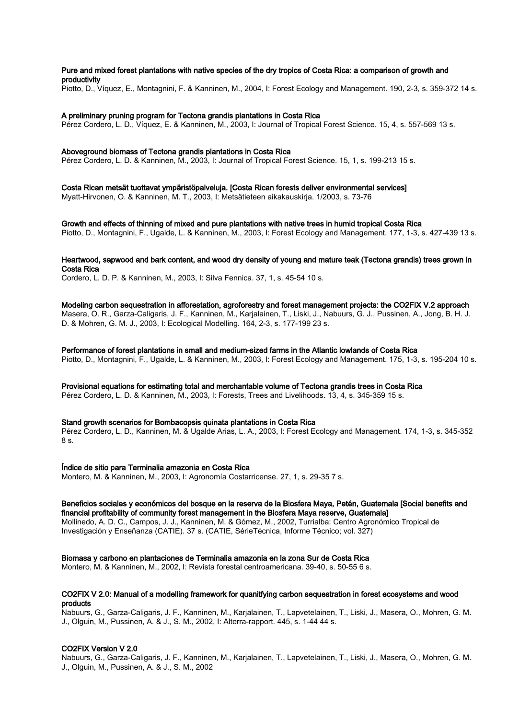Pure and mixed forest plantations with native species of the dry tropics of Costa Rica: a comparison of growth and productivity

Piotto, D., Víquez, E., Montagnini, F. & Kanninen, M., 2004, I: Forest Ecology and Management. 190, 2-3, s. 359-372 14 s.

A preliminary pruning program for Tectona grandis plantations in Costa Rica

Pérez Cordero, L. D., Víquez, E. & Kanninen, M., 2003, I: Journal of Tropical Forest Science. 15, 4, s. 557-569 13 s.

#### Aboveground biomass of Tectona grandis plantations in Costa Rica

Pérez Cordero, L. D. & Kanninen, M., 2003, I: Journal of Tropical Forest Science. 15, 1, s. 199-213 15 s.

Costa Rican metsät tuottavat ympäristöpalveluja. [Costa Rican forests deliver environmental services] Myatt-Hirvonen, O. & Kanninen, M. T., 2003, I: Metsätieteen aikakauskirja. 1/2003, s. 73-76

Growth and effects of thinning of mixed and pure plantations with native trees in humid tropical Costa Rica Piotto, D., Montagnini, F., Ugalde, L. & Kanninen, M., 2003, I: Forest Ecology and Management. 177, 1-3, s. 427-439 13 s.

# Heartwood, sapwood and bark content, and wood dry density of young and mature teak (Tectona grandis) trees grown in Costa Rica

Cordero, L. D. P. & Kanninen, M., 2003, I: Silva Fennica. 37, 1, s. 45-54 10 s.

Modeling carbon sequestration in afforestation, agroforestry and forest management projects: the CO2FIX V.2 approach Masera, O. R., Garza-Caligaris, J. F., Kanninen, M., Karjalainen, T., Liski, J., Nabuurs, G. J., Pussinen, A., Jong, B. H. J. D. & Mohren, G. M. J., 2003, I: Ecological Modelling. 164, 2-3, s. 177-199 23 s.

Performance of forest plantations in small and medium-sized farms in the Atlantic lowlands of Costa Rica Piotto, D., Montagnini, F., Ugalde, L. & Kanninen, M., 2003, I: Forest Ecology and Management. 175, 1-3, s. 195-204 10 s.

#### Provisional equations for estimating total and merchantable volume of Tectona grandis trees in Costa Rica

Pérez Cordero, L. D. & Kanninen, M., 2003, I: Forests, Trees and Livelihoods. 13, 4, s. 345-359 15 s.

# Stand growth scenarios for Bombacopsis quinata plantations in Costa Rica

Pérez Cordero, L. D., Kanninen, M. & Ugalde Arias, L. A., 2003, I: Forest Ecology and Management. 174, 1-3, s. 345-352  $8<sup>8</sup>$ 

#### Índice de sitio para Terminalia amazonia en Costa Rica

Montero, M. & Kanninen, M., 2003, I: Agronomía Costarricense. 27, 1, s. 29-35 7 s.

# Beneficios sociales y económicos del bosque en la reserva de la Biosfera Maya, Petén, Guatemala [Social benefits and

financial profitability of community forest management in the Biosfera Maya reserve, Guatemala] Mollinedo, A. D. C., Campos, J. J., Kanninen, M. & Gómez, M., 2002, Turrialba: Centro Agronómico Tropical de Investigación y Enseñanza (CATIE). 37 s. (CATIE, SérieTécnica, Informe Técnico; vol. 327)

#### Biomasa y carbono en plantaciones de Terminalia amazonia en la zona Sur de Costa Rica

Montero, M. & Kanninen, M., 2002, I: Revista forestal centroamericana. 39-40, s. 50-55 6 s.

#### CO2FIX V 2.0: Manual of a modelling framework for quanitfying carbon sequestration in forest ecosystems and wood products

Nabuurs, G., Garza-Caligaris, J. F., Kanninen, M., Karjalainen, T., Lapvetelainen, T., Liski, J., Masera, O., Mohren, G. M. J., Olguin, M., Pussinen, A. & J., S. M., 2002, I: Alterra-rapport. 445, s. 1-44 44 s.

#### CO2FIX Version V 2.0

Nabuurs, G., Garza-Caligaris, J. F., Kanninen, M., Karjalainen, T., Lapvetelainen, T., Liski, J., Masera, O., Mohren, G. M. J., Olguin, M., Pussinen, A. & J., S. M., 2002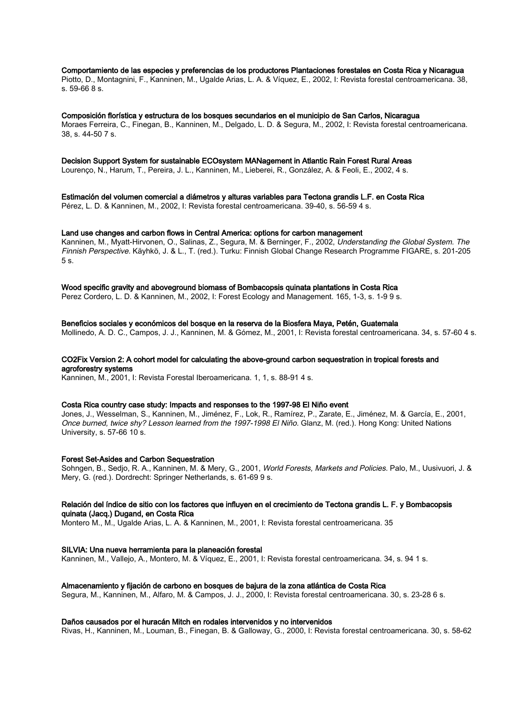Comportamiento de las especies y preferencias de los productores Plantaciones forestales en Costa Rica y Nicaragua Piotto, D., Montagnini, F., Kanninen, M., Ugalde Arias, L. A. & Víquez, E., 2002, I: Revista forestal centroamericana. 38, s. 59-66 8 s.

Composición florística y estructura de los bosques secundarios en el municipio de San Carlos, Nicaragua Moraes Ferreira, C., Finegan, B., Kanninen, M., Delgado, L. D. & Segura, M., 2002, I: Revista forestal centroamericana. 38, s. 44-50 7 s.

#### Decision Support System for sustainable ECOsystem MANagement in Atlantic Rain Forest Rural Areas Lourenço, N., Harum, T., Pereira, J. L., Kanninen, M., Lieberei, R., González, A. & Feoli, E., 2002, 4 s.

Estimación del volumen comercial a diámetros y alturas variables para Tectona grandis L.F. en Costa Rica Pérez, L. D. & Kanninen, M., 2002, I: Revista forestal centroamericana. 39-40, s. 56-59 4 s.

# Land use changes and carbon flows in Central America: options for carbon management

Kanninen, M., Myatt-Hirvonen, O., Salinas, Z., Segura, M. & Berninger, F., 2002, Understanding the Global System. The Finnish Perspective. Käyhkö, J. & L., T. (red.). Turku: Finnish Global Change Research Programme FIGARE, s. 201-205 5 s.

# Wood specific gravity and aboveground biomass of Bombacopsis quinata plantations in Costa Rica

Perez Cordero, L. D. & Kanninen, M., 2002, I: Forest Ecology and Management. 165, 1-3, s. 1-9 9 s.

# Beneficios sociales y económicos del bosque en la reserva de la Biosfera Maya, Petén, Guatemala

Mollinedo, A. D. C., Campos, J. J., Kanninen, M. & Gómez, M., 2001, I: Revista forestal centroamericana. 34, s. 57-60 4 s.

# CO2Fix Version 2: A cohort model for calculating the above-ground carbon sequestration in tropical forests and agroforestry systems

Kanninen, M., 2001, I: Revista Forestal Iberoamericana. 1, 1, s. 88-91 4 s.

# Costa Rica country case study: Impacts and responses to the 1997-98 El Niño event

Jones, J., Wesselman, S., Kanninen, M., Jiménez, F., Lok, R., Ramírez, P., Zarate, E., Jiménez, M. & García, E., 2001, Once burned, twice shy? Lesson learned from the 1997-1998 El Niño. Glanz, M. (red.). Hong Kong: United Nations University, s. 57-66 10 s.

# Forest Set-Asides and Carbon Sequestration

Sohngen, B., Sedjo, R. A., Kanninen, M. & Mery, G., 2001, World Forests, Markets and Policies. Palo, M., Uusivuori, J. & Mery, G. (red.). Dordrecht: Springer Netherlands, s. 61-69 9 s.

# Relación del índice de sitio con los factores que influyen en el crecimiento de Tectona grandis L. F. y Bombacopsis quinata (Jacq.) Dugand, en Costa Rica

Montero M., M., Ugalde Arias, L. A. & Kanninen, M., 2001, I: Revista forestal centroamericana. 35

# SILVIA: Una nueva herramienta para la planeación forestal

Kanninen, M., Vallejo, A., Montero, M. & Víquez, E., 2001, I: Revista forestal centroamericana. 34, s. 94 1 s.

# Almacenamiento y fijación de carbono en bosques de bajura de la zona atlántica de Costa Rica

Segura, M., Kanninen, M., Alfaro, M. & Campos, J. J., 2000, I: Revista forestal centroamericana. 30, s. 23-28 6 s.

# Daños causados por el huracán Mitch en rodales intervenidos y no intervenidos

Rivas, H., Kanninen, M., Louman, B., Finegan, B. & Galloway, G., 2000, I: Revista forestal centroamericana. 30, s. 58-62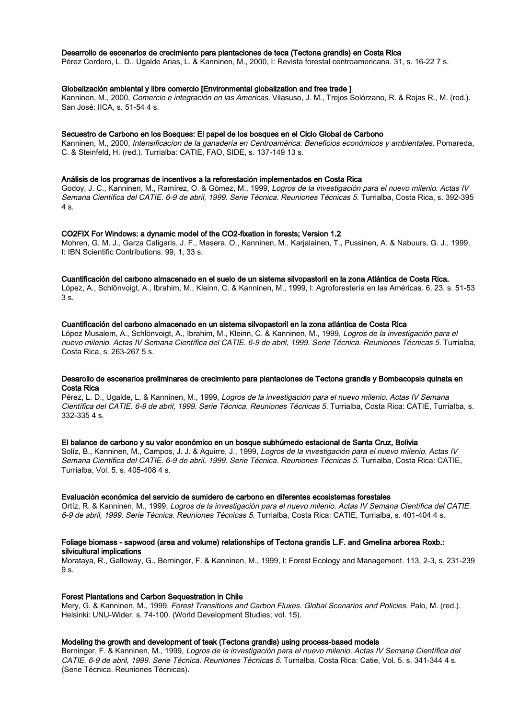### Desarrollo de escenarios de crecimiento para plantaciones de teca (Tectona grandis) en Costa Rica

Pérez Cordero, L. D., Ugalde Arias, L. & Kanninen, M., 2000, I: Revista forestal centroamericana. 31, s. 16-22 7 s.

## Globalización ambiental y libre comercio [Environmental globalization and free trade ]

Kanninen, M., 2000, Comercio e integración en las Americas. Vilasuso, J. M., Trejos Solórzano, R. & Rojas R., M. (red.). San José: IICA, s. 51-54 4 s.

#### Secuestro de Carbono en los Bosques: El papel de los bosques en el Ciclo Global de Carbono

Kanninen, M., 2000, Intensificacíon de la ganadería en Centroamérica: Beneficios económicos y ambientales. Pomareda, C. & Steinfeld, H. (red.). Turrialba: CATIE, FAO, SIDE, s. 137-149 13 s.

#### Análisis de los programas de incentivos a la reforestación implementados en Costa Rica

Godoy, J. C., Kanninen, M., Ramírez, O. & Gómez, M., 1999, Logros de la investigación para el nuevo milenio. Actas IV Semana Científica del CATIE. 6-9 de abril, 1999. Serie Técnica. Reuniones Técnicas 5. Turrialba, Costa Rica, s. 392-395 4 s.

#### CO2FIX For Windows: a dynamic model of the CO2-fixation in forests; Version 1.2

Mohren, G. M. J., Garza Caligaris, J. F., Masera, O., Kanninen, M., Karjalainen, T., Pussinen, A. & Nabuurs, G. J., 1999, I: IBN Scientific Contributions. 99, 1, 33 s.

#### Cuantificación del carbono almacenado en el suelo de un sistema silvopastoril en la zona Atlántica de Costa Rica.

López, A., Schlönvoigt, A., Ibrahim, M., Kleinn, C. & Kanninen, M., 1999, I: Agroforestería en las Américas. 6, 23, s. 51-53 3 s.

#### Cuantificación del carbono almacenado en un sistema silvopastoril en la zona atlántica de Costa Rica

López Musalem, A., Schlönvoigt, A., Ibrahim, M., Kleinn, C. & Kanninen, M., 1999, Logros de la investigación para el nuevo milenio. Actas IV Semana Científica del CATIE. 6-9 de abril, 1999. Serie Técnica. Reuniones Técnicas 5. Turrialba, Costa Rica, s. 263-267 5 s.

#### Desarollo de escenarios preliminares de crecimiento para plantaciones de Tectona grandis y Bombacopsis quinata en Costa Rica

Pérez, L. D., Ugalde, L. & Kanninen, M., 1999, Logros de la investigación para el nuevo milenio. Actas IV Semana Científica del CATIE. 6-9 de abril, 1999. Serie Técnica. Reuniones Técnicas 5. Turrialba, Costa Rica: CATIE, Turrialba, s. 332-335 4 s.

#### El balance de carbono y su valor económico en un bosque subhúmedo estacional de Santa Cruz, Bolivia

Solíz, B., Kanninen, M., Campos, J. J. & Aguirre, J., 1999, Logros de la investigación para el nuevo milenio. Actas IV Semana Científica del CATIE. 6-9 de abril, 1999. Serie Técnica. Reuniones Técnicas 5. Turrialba, Costa Rica: CATIE, Turrialba, Vol. 5. s. 405-408 4 s.

#### Evaluación económica del servicio de sumidero de carbono en diferentes ecosistemas forestales

Ortíz, R. & Kanninen, M., 1999, Logros de la investigación para el nuevo milenio. Actas IV Semana Científica del CATIE. 6-9 de abril, 1999. Serie Técnica. Reuniones Técnicas 5. Turrialba, Costa Rica: CATIE, Turrialba, s. 401-404 4 s.

#### Foliage biomass - sapwood (area and volume) relationships of Tectona grandis L.F. and Gmelina arborea Roxb.: silvicultural implications

Morataya, R., Galloway, G., Berninger, F. & Kanninen, M., 1999, I: Forest Ecology and Management. 113, 2-3, s. 231-239 9 s.

#### Forest Plantations and Carbon Sequestration in Chile

Mery, G. & Kanninen, M., 1999, Forest Transitions and Carbon Fluxes. Global Scenarios and Policies. Palo, M. (red.). Helsinki: UNU-Wider, s. 74-100. (World Development Studies; vol. 15).

#### Modeling the growth and development of teak (Tectona grandis) using process-based models

Berninger, F. & Kanninen, M., 1999, Logros de la investigación para el nuevo milenio. Actas IV Semana Científica del CATIE. 6-9 de abril, 1999. Serie Técnica. Reuniones Técnicas 5. Turrialba, Costa Rica: Catie, Vol. 5. s. 341-344 4 s. (Serie Técnica. Reuniones Técnicas).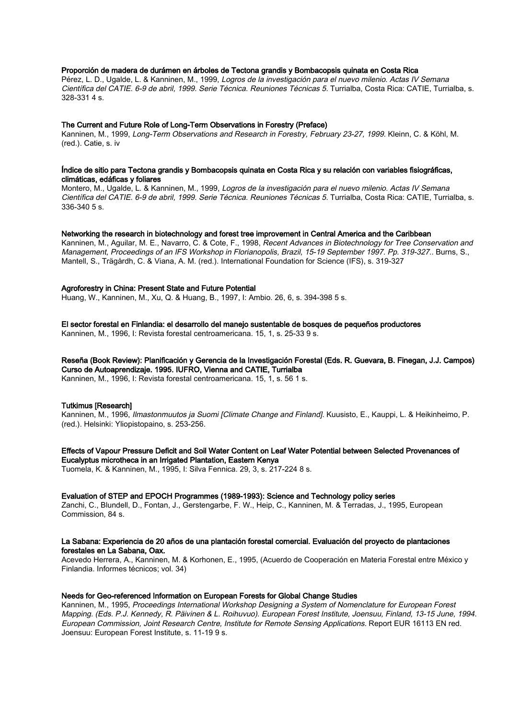# Proporción de madera de durámen en árboles de Tectona grandis y Bombacopsis quinata en Costa Rica

Pérez, L. D., Ugalde, L. & Kanninen, M., 1999, Logros de la investigación para el nuevo milenio. Actas IV Semana Científica del CATIE. 6-9 de abril, 1999. Serie Técnica. Reuniones Técnicas 5. Turrialba, Costa Rica: CATIE, Turrialba, s. 328-331 4 s.

### The Current and Future Role of Long-Term Observations in Forestry (Preface)

Kanninen, M., 1999, Long-Term Observations and Research in Forestry, February 23-27, 1999. Kleinn, C. & Köhl, M. (red.). Catie, s. iv

#### Índice de sitio para Tectona grandis y Bombacopsis quinata en Costa Rica y su relación con variables fisiográficas, climáticas, edáficas y foliares

Montero, M., Ugalde, L. & Kanninen, M., 1999, Logros de la investigación para el nuevo milenio. Actas IV Semana Científica del CATIE. 6-9 de abril, 1999. Serie Técnica. Reuniones Técnicas 5. Turrialba, Costa Rica: CATIE, Turrialba, s. 336-340 5 s.

#### Networking the research in biotechnology and forest tree improvement in Central America and the Caribbean

Kanninen, M., Aguilar, M. E., Navarro, C. & Cote, F., 1998, Recent Advances in Biotechnology for Tree Conservation and Management, Proceedings of an IFS Workshop in Florianopolis, Brazil, 15-19 September 1997. Pp. 319-327.. Burns, S., Mantell, S., Trägårdh, C. & Viana, A. M. (red.). International Foundation for Science (IFS), s. 319-327

### Agroforestry in China: Present State and Future Potential

Huang, W., Kanninen, M., Xu, Q. & Huang, B., 1997, I: Ambio. 26, 6, s. 394-398 5 s.

#### El sector forestal en Finlandia: el desarrollo del manejo sustentable de bosques de pequeños productores

Kanninen, M., 1996, I: Revista forestal centroamericana. 15, 1, s. 25-33 9 s.

# Reseña (Book Review): Planificación y Gerencia de la Investigación Forestal (Eds. R. Guevara, B. Finegan, J.J. Campos) Curso de Autoaprendizaje. 1995. IUFRO, Vienna and CATIE, Turrialba

Kanninen, M., 1996, I: Revista forestal centroamericana. 15, 1, s. 56 1 s.

# Tutkimus [Research]

Kanninen, M., 1996, Ilmastonmuutos ja Suomi [Climate Change and Finland]. Kuusisto, E., Kauppi, L. & Heikinheimo, P. (red.). Helsinki: Yliopistopaino, s. 253-256.

# Effects of Vapour Pressure Deficit and Soil Water Content on Leaf Water Potential between Selected Provenances of Eucalyptus microtheca in an Irrigated Plantation, Eastern Kenya

Tuomela, K. & Kanninen, M., 1995, I: Silva Fennica. 29, 3, s. 217-224 8 s.

# Evaluation of STEP and EPOCH Programmes (1989-1993): Science and Technology policy series

Zanchi, C., Blundell, D., Fontan, J., Gerstengarbe, F. W., Heip, C., Kanninen, M. & Terradas, J., 1995, European Commission, 84 s.

#### La Sabana: Experiencia de 20 años de una plantación forestal comercial. Evaluación del proyecto de plantaciones forestales en La Sabana, Oax.

Acevedo Herrera, A., Kanninen, M. & Korhonen, E., 1995, (Acuerdo de Cooperación en Materia Forestal entre México y Finlandia. Informes técnicos; vol. 34)

## Needs for Geo-referenced Information on European Forests for Global Change Studies

Kanninen, M., 1995, Proceedings International Workshop Designing a System of Nomenclature for European Forest Mapping. (Eds. P.J. Kennedy, R. Päivinen & L. Roihuvuo). European Forest Institute, Joensuu, Finland, 13-15 June, 1994. European Commission, Joint Research Centre, Institute for Remote Sensing Applications. Report EUR 16113 EN red. Joensuu: European Forest Institute, s. 11-19 9 s.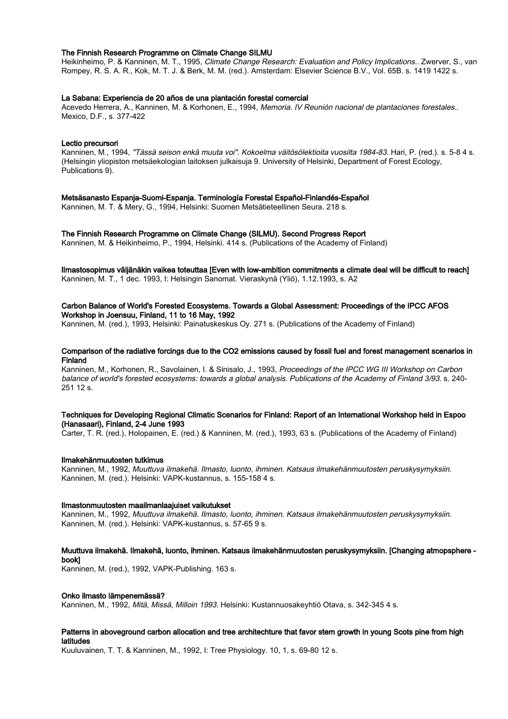#### The Finnish Research Programme on Climate Change SILMU

Heikinheimo, P. & Kanninen, M. T., 1995, Climate Change Research: Evaluation and Policy Implications.. Zwerver, S., van Rompey, R. S. A. R., Kok, M. T. J. & Berk, M. M. (red.). Amsterdam: Elsevier Science B.V., Vol. 65B. s. 1419 1422 s.

#### La Sabana: Experiencia de 20 años de una plantación forestal comercial

Acevedo Herrera, A., Kanninen, M. & Korhonen, E., 1994, Memoria. IV Reunión nacional de plantaciones forestales.. Mexico, D.F., s. 377-422

#### Lectio precursori

Kanninen, M., 1994, "Tässä seison enkä muuta voi". Kokoelma väitösölektioita vuosilta 1984-83. Hari, P. (red.). s. 5-8 4 s. (Helsingin yliopiston metsäekologian laitoksen julkaisuja 9. University of Helsinki, Department of Forest Ecology, Publications 9).

Metsäsanasto Espanja-Suomi-Espanja. Terminología Forestal Español-Finlandés-Español

Kanninen, M. T. & Mery, G., 1994, Helsinki: Suomen Metsätieteellinen Seura. 218 s.

#### The Finnish Research Programme on Climate Change (SILMU). Second Progress Report

Kanninen, M. & Heikinheimo, P., 1994, Helsinki. 414 s. (Publications of the Academy of Finland)

Ilmastosopimus väljänäkin vaikea toteuttaa [Even with low-ambition commitments a climate deal will be difficult to reach] Kanninen, M. T., 1 dec. 1993, I: Helsingin Sanomat. Vieraskynä (Yliö), 1.12.1993, s. A2

### Carbon Balance of World's Forested Ecosystems. Towards a Global Assessment: Proceedings of the IPCC AFOS Workshop in Joensuu, Finland, 11 to 16 May, 1992

Kanninen, M. (red.), 1993, Helsinki: Painatuskeskus Oy. 271 s. (Publications of the Academy of Finland)

## Comparison of the radiative forcings due to the CO2 emissions caused by fossil fuel and forest management scenarios in Finland

Kanninen, M., Korhonen, R., Savolainen, I. & Sinisalo, J., 1993, Proceedings of the IPCC WG III Workshop on Carbon balance of world's forested ecosystems: towards a global analysis. Publications of the Academy of Finland 3/93. s. 240- 251 12 s.

# Techniques for Developing Regional Climatic Scenarios for Finland: Report of an International Workshop held in Espoo (Hanasaari), Finland, 2-4 June 1993

Carter, T. R. (red.), Holopainen, E. (red.) & Kanninen, M. (red.), 1993, 63 s. (Publications of the Academy of Finland)

#### Ilmakehänmuutosten tutkimus

Kanninen, M., 1992, Muuttuva ilmakehä. Ilmasto, luonto, ihminen. Katsaus ilmakehänmuutosten peruskysymyksiin. Kanninen, M. (red.). Helsinki: VAPK-kustannus, s. 155-158 4 s.

#### Ilmastonmuutosten maailmanlaajuiset vaikutukset

Kanninen, M., 1992, Muuttuva ilmakehä. Ilmasto, luonto, ihminen. Katsaus ilmakehänmuutosten peruskysymyksiin. Kanninen, M. (red.). Helsinki: VAPK-kustannus, s. 57-65 9 s.

#### Muuttuva ilmakehä. Ilmakehä, luonto, ihminen. Katsaus ilmakehänmuutosten peruskysymyksiin. [Changing atmopsphere book]

Kanninen, M. (red.), 1992, VAPK-Publishing. 163 s.

#### Onko ilmasto lämpenemässä?

Kanninen, M., 1992, Mitä, Missä, Milloin 1993. Helsinki: Kustannuosakeyhtiö Otava, s. 342-345 4 s.

# Patterns in aboveground carbon allocation and tree architechture that favor stem growth in young Scots pine from high latitudes

Kuuluvainen, T. T. & Kanninen, M., 1992, I: Tree Physiology. 10, 1, s. 69-80 12 s.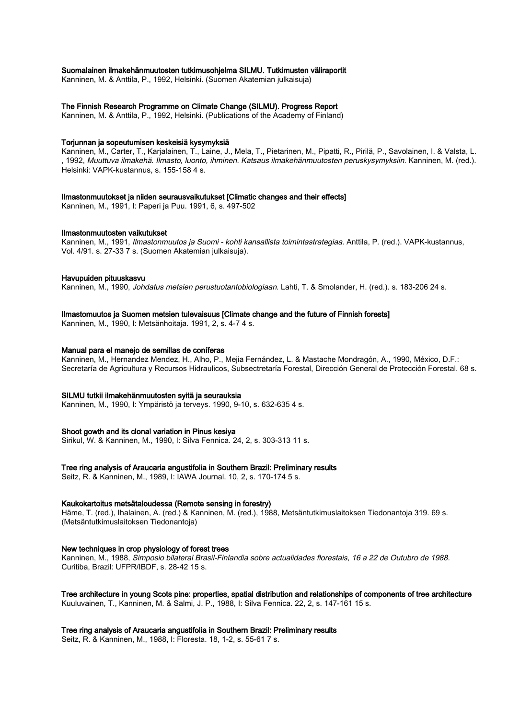#### Suomalainen ilmakehänmuutosten tutkimusohjelma SILMU. Tutkimusten väliraportit

Kanninen, M. & Anttila, P., 1992, Helsinki. (Suomen Akatemian julkaisuja)

# The Finnish Research Programme on Climate Change (SILMU). Progress Report

Kanninen, M. & Anttila, P., 1992, Helsinki. (Publications of the Academy of Finland)

### Torjunnan ja sopeutumisen keskeisiä kysymyksiä

Kanninen, M., Carter, T., Karjalainen, T., Laine, J., Mela, T., Pietarinen, M., Pipatti, R., Pirilä, P., Savolainen, I. & Valsta, L. , 1992, Muuttuva ilmakehä. Ilmasto, luonto, ihminen. Katsaus ilmakehänmuutosten peruskysymyksiin. Kanninen, M. (red.). Helsinki: VAPK-kustannus, s. 155-158 4 s.

# Ilmastonmuutokset ja niiden seurausvaikutukset [Climatic changes and their effects]

Kanninen, M., 1991, I: Paperi ja Puu. 1991, 6, s. 497-502

#### Ilmastonmuutosten vaikutukset

Kanninen, M., 1991, Ilmastonmuutos ja Suomi - kohti kansallista toimintastrategiaa. Anttila, P. (red.). VAPK-kustannus, Vol. 4/91. s. 27-33 7 s. (Suomen Akatemian julkaisuja).

#### Havupuiden pituuskasvu

Kanninen, M., 1990, Johdatus metsien perustuotantobiologiaan. Lahti, T. & Smolander, H. (red.). s. 183-206 24 s.

# Ilmastomuutos ja Suomen metsien tulevaisuus [Climate change and the future of Finnish forests]

Kanninen, M., 1990, I: Metsänhoitaja. 1991, 2, s. 4-7 4 s.

# Manual para el manejo de semillas de coníferas

Kanninen, M., Hernandez Mendez, H., Alho, P., Mejia Fernández, L. & Mastache Mondragón, A., 1990, México, D.F.: Secretaría de Agricultura y Recursos Hidraulicos, Subsectretaría Forestal, Dirección General de Protección Forestal. 68 s.

#### SILMU tutkii ilmakehänmuutosten syitä ja seurauksia

Kanninen, M., 1990, I: Ympäristö ja terveys. 1990, 9-10, s. 632-635 4 s.

#### Shoot gowth and its clonal variation in Pinus kesiya

Sirikul, W. & Kanninen, M., 1990, I: Silva Fennica. 24, 2, s. 303-313 11 s.

#### Tree ring analysis of Araucaria angustifolia in Southern Brazil: Preliminary results

Seitz, R. & Kanninen, M., 1989, I: IAWA Journal. 10, 2, s. 170-174 5 s.

#### Kaukokartoitus metsätaloudessa (Remote sensing in forestry)

Häme, T. (red.), Ihalainen, A. (red.) & Kanninen, M. (red.), 1988, Metsäntutkimuslaitoksen Tiedonantoja 319. 69 s. (Metsäntutkimuslaitoksen Tiedonantoja)

# New techniques in crop physiology of forest trees

Kanninen, M., 1988, Simposio bilateral Brasil-Finlandia sobre actualidades florestais, 16 a 22 de Outubro de 1988. Curitiba, Brazil: UFPR/IBDF, s. 28-42 15 s.

Tree architecture in young Scots pine: properties, spatial distribution and relationships of components of tree architecture Kuuluvainen, T., Kanninen, M. & Salmi, J. P., 1988, I: Silva Fennica. 22, 2, s. 147-161 15 s.

# Tree ring analysis of Araucaria angustifolia in Southern Brazil: Preliminary results

Seitz, R. & Kanninen, M., 1988, I: Floresta. 18, 1-2, s. 55-61 7 s.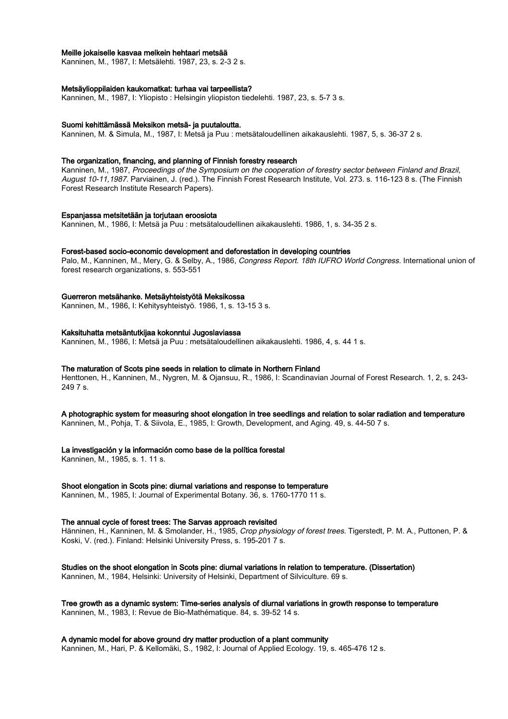#### Meille jokaiselle kasvaa melkein hehtaari metsää

Kanninen, M., 1987, I: Metsälehti. 1987, 23, s. 2-3 2 s.

#### Metsäylioppilaiden kaukomatkat: turhaa vai tarpeellista?

Kanninen, M., 1987, I: Yliopisto : Helsingin yliopiston tiedelehti. 1987, 23, s. 5-7 3 s.

#### Suomi kehittämässä Meksikon metsä- ja puutaloutta.

Kanninen, M. & Simula, M., 1987, I: Metsä ja Puu : metsätaloudellinen aikakauslehti. 1987, 5, s. 36-37 2 s.

#### The organization, financing, and planning of Finnish forestry research

Kanninen, M., 1987, Proceedings of the Symposium on the cooperation of forestry sector between Finland and Brazil, August 10-11,1987. Parviainen, J. (red.). The Finnish Forest Research Institute, Vol. 273. s. 116-123 8 s. (The Finnish Forest Research Institute Research Papers).

#### Espanjassa metsitetään ja torjutaan eroosiota

Kanninen, M., 1986, I: Metsä ja Puu : metsätaloudellinen aikakauslehti. 1986, 1, s. 34-35 2 s.

#### Forest-based socio-economic development and deforestation in developing countries

Palo, M., Kanninen, M., Mery, G. & Selby, A., 1986, Congress Report. 18th IUFRO World Congress. International union of forest research organizations, s. 553-551

#### Guerreron metsähanke. Metsäyhteistyötä Meksikossa

Kanninen, M., 1986, I: Kehitysyhteistyö. 1986, 1, s. 13-15 3 s.

#### Kaksituhatta metsäntutkijaa kokonntui Jugoslaviassa

Kanninen, M., 1986, I: Metsä ja Puu : metsätaloudellinen aikakauslehti. 1986, 4, s. 44 1 s.

# The maturation of Scots pine seeds in relation to climate in Northern Finland

Henttonen, H., Kanninen, M., Nygren, M. & Ojansuu, R., 1986, I: Scandinavian Journal of Forest Research. 1, 2, s. 243- 249 7 s.

#### A photographic system for measuring shoot elongation in tree seedlings and relation to solar radiation and temperature

Kanninen, M., Pohja, T. & Siivola, E., 1985, I: Growth, Development, and Aging. 49, s. 44-50 7 s.

## La investigación y la información como base de la política forestal

Kanninen, M., 1985, s. 1. 11 s.

#### Shoot elongation in Scots pine: diurnal variations and response to temperature

Kanninen, M., 1985, I: Journal of Experimental Botany. 36, s. 1760-1770 11 s.

# The annual cycle of forest trees: The Sarvas approach revisited

Hänninen, H., Kanninen, M. & Smolander, H., 1985, Crop physiology of forest trees. Tigerstedt, P. M. A., Puttonen, P. & Koski, V. (red.). Finland: Helsinki University Press, s. 195-201 7 s.

### Studies on the shoot elongation in Scots pine: diurnal variations in relation to temperature. (Dissertation)

Kanninen, M., 1984, Helsinki: University of Helsinki, Department of Silviculture. 69 s.

# Tree growth as a dynamic system: Time-series analysis of diurnal variations in growth response to temperature

Kanninen, M., 1983, I: Revue de Bio-Mathématique. 84, s. 39-52 14 s.

## A dynamic model for above ground dry matter production of a plant community

Kanninen, M., Hari, P. & Kellomäki, S., 1982, I: Journal of Applied Ecology. 19, s. 465-476 12 s.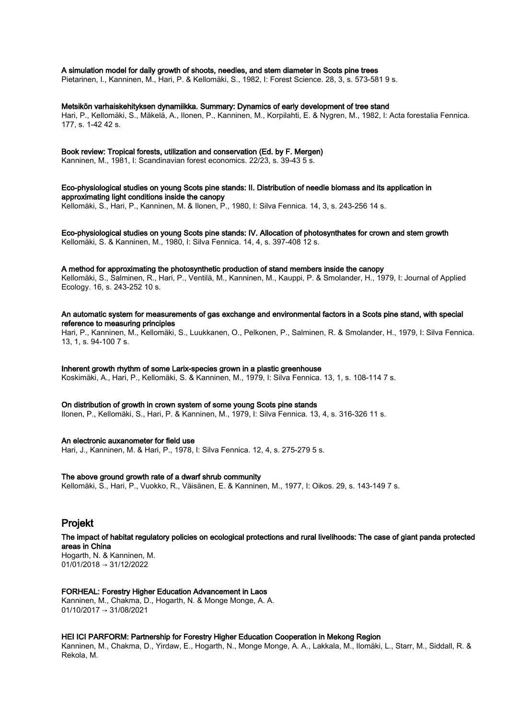### A simulation model for daily growth of shoots, needles, and stem diameter in Scots pine trees

Pietarinen, I., Kanninen, M., Hari, P. & Kellomäki, S., 1982, I: Forest Science. 28, 3, s. 573-581 9 s.

#### Metsikön varhaiskehityksen dynamiikka. Summary: Dynamics of early development of tree stand Hari, P., Kellomäki, S., Mäkelä, A., Ilonen, P., Kanninen, M., Korpilahti, E. & Nygren, M., 1982, I: Acta forestalia Fennica. 177, s. 1-42 42 s.

#### Book review: Tropical forests, utilization and conservation (Ed. by F. Mergen)

Kanninen, M., 1981, I: Scandinavian forest economics. 22/23, s. 39-43 5 s.

# Eco-physiological studies on young Scots pine stands: II. Distribution of needle biomass and its application in approximating light conditions inside the canopy

Kellomäki, S., Hari, P., Kanninen, M. & Ilonen, P., 1980, I: Silva Fennica. 14, 3, s. 243-256 14 s.

Eco-physiological studies on young Scots pine stands: IV. Allocation of photosynthates for crown and stem growth Kellomäki, S. & Kanninen, M., 1980, I: Silva Fennica. 14, 4, s. 397-408 12 s.

#### A method for approximating the photosynthetic production of stand members inside the canopy

Kellomäki, S., Salminen, R., Hari, P., Ventilä, M., Kanninen, M., Kauppi, P. & Smolander, H., 1979, I: Journal of Applied Ecology. 16, s. 243-252 10 s.

# An automatic system for measurements of gas exchange and environmental factors in a Scots pine stand, with special reference to measuring principles

Hari, P., Kanninen, M., Kellomäki, S., Luukkanen, O., Pelkonen, P., Salminen, R. & Smolander, H., 1979, I: Silva Fennica. 13, 1, s. 94-100 7 s.

#### Inherent growth rhythm of some Larix-species grown in a plastic greenhouse

Koskimäki, A., Hari, P., Kellomäki, S. & Kanninen, M., 1979, I: Silva Fennica. 13, 1, s. 108-114 7 s.

#### On distribution of growth in crown system of some young Scots pine stands

Ilonen, P., Kellomäki, S., Hari, P. & Kanninen, M., 1979, I: Silva Fennica. 13, 4, s. 316-326 11 s.

#### An electronic auxanometer for field use

Hari, J., Kanninen, M. & Hari, P., 1978, I: Silva Fennica. 12, 4, s. 275-279 5 s.

#### The above ground growth rate of a dwarf shrub community

Kellomäki, S., Hari, P., Vuokko, R., Väisänen, E. & Kanninen, M., 1977, I: Oikos. 29, s. 143-149 7 s.

# Projekt

# The impact of habitat regulatory policies on ecological protections and rural livelihoods: The case of giant panda protected areas in China Hogarth, N. & Kanninen, M.

01/01/2018 → 31/12/2022

# FORHEAL: Forestry Higher Education Advancement in Laos

Kanninen, M., Chakma, D., Hogarth, N. & Monge Monge, A. A. 01/10/2017 → 31/08/2021

#### HEI ICI PARFORM: Partnership for Forestry Higher Education Cooperation in Mekong Region

Kanninen, M., Chakma, D., Yirdaw, E., Hogarth, N., Monge Monge, A. A., Lakkala, M., Ilomäki, L., Starr, M., Siddall, R. & Rekola, M.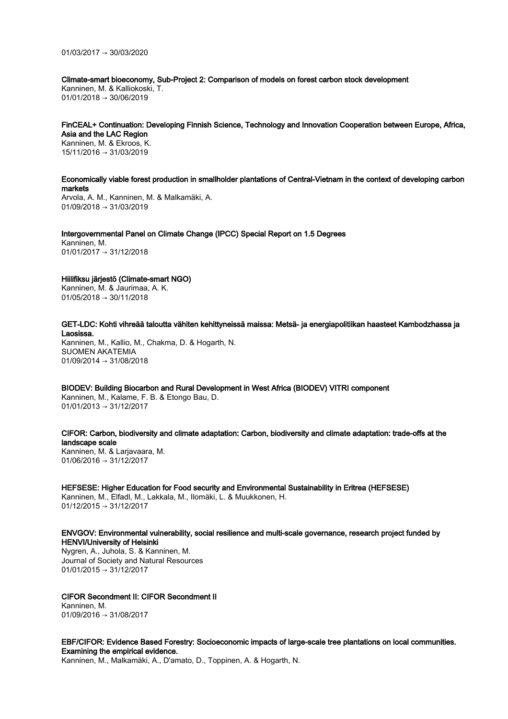01/03/2017 → 30/03/2020

Climate-smart bioeconomy, Sub-Project 2: Comparison of models on forest carbon stock development Kanninen, M. & Kalliokoski, T. 01/01/2018 → 30/06/2019

FinCEAL+ Continuation: Developing Finnish Science, Technology and Innovation Cooperation between Europe, Africa, Asia and the LAC Region Kanninen, M. & Ekroos, K. 15/11/2016 → 31/03/2019

Economically viable forest production in smallholder plantations of Central-Vietnam in the context of developing carbon markets

Arvola, A. M., Kanninen, M. & Malkamäki, A. 01/09/2018 → 31/03/2019

Intergovernmental Panel on Climate Change (IPCC) Special Report on 1.5 Degrees Kanninen, M. 01/01/2017 → 31/12/2018

# Hiilifiksu järjestö (Climate-smart NGO)

Kanninen, M. & Jaurimaa, A. K. 01/05/2018 → 30/11/2018

GET-LDC: Kohti vihreää taloutta vähiten kehittyneissä maissa: Metsä- ja energiapolitiikan haasteet Kambodzhassa ja Laosissa. Kanninen, M., Kallio, M., Chakma, D. & Hogarth, N.

SUOMEN AKATEMIA 01/09/2014 → 31/08/2018

BIODEV: Building Biocarbon and Rural Development in West Africa (BIODEV) VITRI component Kanninen, M., Kalame, F. B. & Etongo Bau, D.

01/01/2013 → 31/12/2017

CIFOR: Carbon, biodiversity and climate adaptation: Carbon, biodiversity and climate adaptation: trade-offs at the landscape scale Kanninen, M. & Larjavaara, M.

 $01/06/2016 \rightarrow 31/12/2017$ 

HEFSESE: Higher Education for Food security and Environmental Sustainability in Eritrea (HEFSESE) Kanninen, M., Elfadl, M., Lakkala, M., Ilomäki, L. & Muukkonen, H. 01/12/2015 → 31/12/2017

ENVGOV: Environmental vulnerability, social resilience and multi-scale governance, research project funded by HENVI/University of Helsinki

Nygren, A., Juhola, S. & Kanninen, M. Journal of Society and Natural Resources 01/01/2015 → 31/12/2017

CIFOR Secondment II: CIFOR Secondment II Kanninen, M. 01/09/2016 → 31/08/2017

EBF/CIFOR: Evidence Based Forestry: Socioeconomic impacts of large-scale tree plantations on local communities. Examining the empirical evidence.

Kanninen, M., Malkamäki, A., D'amato, D., Toppinen, A. & Hogarth, N.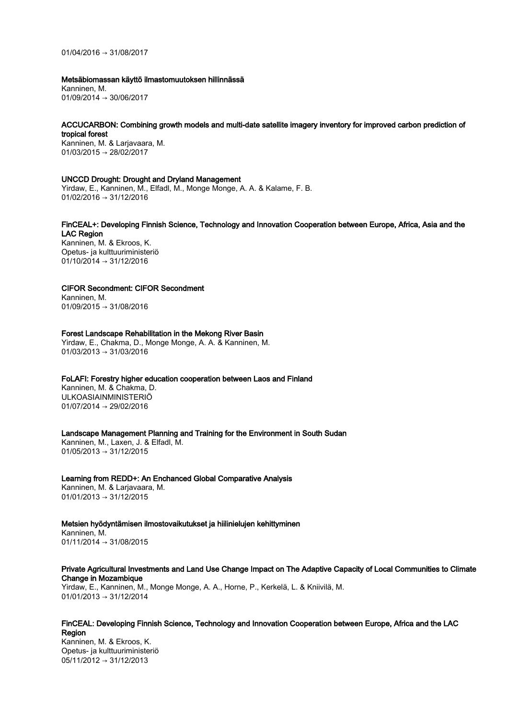01/04/2016 → 31/08/2017

#### Metsäbiomassan käyttö ilmastomuutoksen hillinnässä

Kanninen, M. 01/09/2014 → 30/06/2017

# ACCUCARBON: Combining growth models and multi-date satellite imagery inventory for improved carbon prediction of tropical forest

Kanninen, M. & Larjavaara, M. 01/03/2015 → 28/02/2017

#### UNCCD Drought: Drought and Dryland Management

Yirdaw, E., Kanninen, M., Elfadl, M., Monge Monge, A. A. & Kalame, F. B. 01/02/2016 → 31/12/2016

# FinCEAL+: Developing Finnish Science, Technology and Innovation Cooperation between Europe, Africa, Asia and the LAC Region

Kanninen, M. & Ekroos, K. Opetus- ja kulttuuriministeriö  $01/10/2014 \rightarrow 31/12/2016$ 

# CIFOR Secondment: CIFOR Secondment

Kanninen, M. 01/09/2015 → 31/08/2016

# Forest Landscape Rehabilitation in the Mekong River Basin

Yirdaw, E., Chakma, D., Monge Monge, A. A. & Kanninen, M. 01/03/2013 → 31/03/2016

# FoLAFI: Forestry higher education cooperation between Laos and Finland

Kanninen, M. & Chakma, D. ULKOASIAINMINISTERIÖ 01/07/2014 → 29/02/2016

# Landscape Management Planning and Training for the Environment in South Sudan

Kanninen, M., Laxen, J. & Elfadl, M. 01/05/2013 → 31/12/2015

# Learning from REDD+: An Enchanced Global Comparative Analysis

Kanninen, M. & Larjavaara, M.  $01/01/2013 \rightarrow 31/12/2015$ 

Metsien hyödyntämisen ilmostovaikutukset ja hiilinielujen kehittyminen Kanninen, M. 01/11/2014 → 31/08/2015

# Private Agricultural Investments and Land Use Change Impact on The Adaptive Capacity of Local Communities to Climate Change in Mozambique

Yirdaw, E., Kanninen, M., Monge Monge, A. A., Horne, P., Kerkelä, L. & Kniivilä, M. 01/01/2013 → 31/12/2014

#### FinCEAL: Developing Finnish Science, Technology and Innovation Cooperation between Europe, Africa and the LAC Region

Kanninen, M. & Ekroos, K. Opetus- ja kulttuuriministeriö  $05/11/2012 \rightarrow 31/12/2013$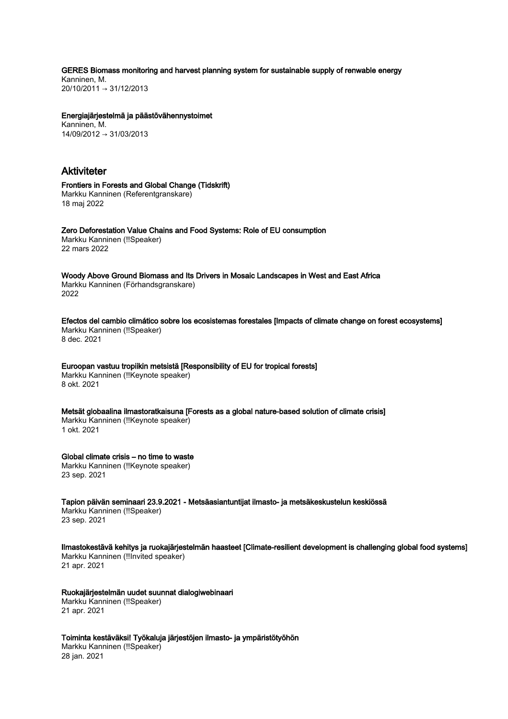GERES Biomass monitoring and harvest planning system for sustainable supply of renwable energy

Kanninen, M. 20/10/2011 → 31/12/2013

Energiajärjestelmä ja päästövähennystoimet

Kanninen, M. 14/09/2012 → 31/03/2013

# Aktiviteter

Frontiers in Forests and Global Change (Tidskrift)

Markku Kanninen (Referentgranskare) 18 maj 2022

Zero Deforestation Value Chains and Food Systems: Role of EU consumption Markku Kanninen (!!Speaker) 22 mars 2022

Woody Above Ground Biomass and Its Drivers in Mosaic Landscapes in West and East Africa Markku Kanninen (Förhandsgranskare) 2022

Efectos del cambio climático sobre los ecosistemas forestales [Impacts of climate change on forest ecosystems] Markku Kanninen (!!Speaker) 8 dec. 2021

Euroopan vastuu tropiikin metsistä [Responsibility of EU for tropical forests] Markku Kanninen (!!Keynote speaker) 8 okt. 2021

Metsät globaalina ilmastoratkaisuna [Forests as a global nature-based solution of climate crisis] Markku Kanninen (!!Keynote speaker) 1 okt. 2021

Global climate crisis – no time to waste Markku Kanninen (!!Keynote speaker) 23 sep. 2021

Tapion päivän seminaari 23.9.2021 - Metsäasiantuntijat ilmasto- ja metsäkeskustelun keskiössä Markku Kanninen (!!Speaker)

23 sep. 2021

Ilmastokestävä kehitys ja ruokajärjestelmän haasteet [Climate-resilient development is challenging global food systems] Markku Kanninen (!!Invited speaker) 21 apr. 2021

Ruokajärjestelmän uudet suunnat dialogiwebinaari

Markku Kanninen (!!Speaker) 21 apr. 2021

Toiminta kestäväksi! Työkaluja järjestöjen ilmasto- ja ympäristötyöhön

Markku Kanninen (!!Speaker) 28 jan. 2021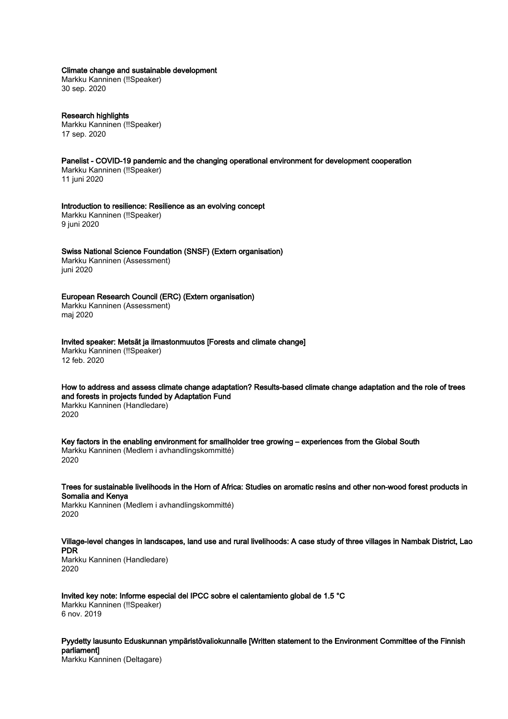Climate change and sustainable development

Markku Kanninen (!!Speaker) 30 sep. 2020

Research highlights Markku Kanninen (!!Speaker) 17 sep. 2020

Panelist - COVID-19 pandemic and the changing operational environment for development cooperation Markku Kanninen (!!Speaker) 11 juni 2020

Introduction to resilience: Resilience as an evolving concept Markku Kanninen (!!Speaker) 9 juni 2020

# Swiss National Science Foundation (SNSF) (Extern organisation)

Markku Kanninen (Assessment) juni 2020

# European Research Council (ERC) (Extern organisation)

Markku Kanninen (Assessment) maj 2020

Invited speaker: Metsät ja ilmastonmuutos [Forests and climate change] Markku Kanninen (!!Speaker)

12 feb. 2020

How to address and assess climate change adaptation? Results-based climate change adaptation and the role of trees and forests in projects funded by Adaptation Fund Markku Kanninen (Handledare) 2020

Key factors in the enabling environment for smallholder tree growing – experiences from the Global South Markku Kanninen (Medlem i avhandlingskommitté) 2020

Trees for sustainable livelihoods in the Horn of Africa: Studies on aromatic resins and other non-wood forest products in Somalia and Kenya

Markku Kanninen (Medlem i avhandlingskommitté) 2020

Village-level changes in landscapes, land use and rural livelihoods: A case study of three villages in Nambak District, Lao PDR

Markku Kanninen (Handledare) 2020

Invited key note: Informe especial del IPCC sobre el calentamiento global de 1.5 °C Markku Kanninen (!!Speaker) 6 nov. 2019

Pyydetty lausunto Eduskunnan ympäristövaliokunnalle [Written statement to the Environment Committee of the Finnish parliament]

Markku Kanninen (Deltagare)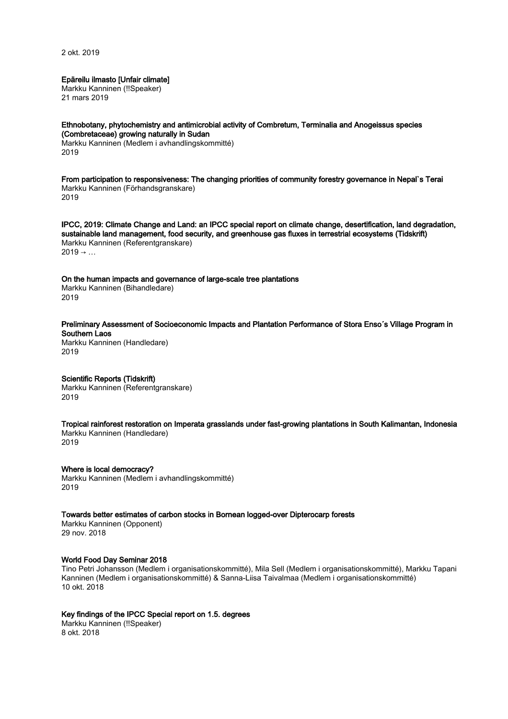2 okt. 2019

Epäreilu ilmasto [Unfair climate] Markku Kanninen (!!Speaker)

21 mars 2019

#### Ethnobotany, phytochemistry and antimicrobial activity of Combretum, Terminalia and Anogeissus species (Combretaceae) growing naturally in Sudan

Markku Kanninen (Medlem i avhandlingskommitté) 2019

From participation to responsiveness: The changing priorities of community forestry governance in Nepal`s Terai Markku Kanninen (Förhandsgranskare) 2019

IPCC, 2019: Climate Change and Land: an IPCC special report on climate change, desertification, land degradation, sustainable land management, food security, and greenhouse gas fluxes in terrestrial ecosystems (Tidskrift) Markku Kanninen (Referentgranskare)  $2019 \rightarrow ...$ 

On the human impacts and governance of large-scale tree plantations Markku Kanninen (Bihandledare) 2019

Preliminary Assessment of Socioeconomic Impacts and Plantation Performance of Stora Enso´s Village Program in Southern Laos Markku Kanninen (Handledare) 2019

Scientific Reports (Tidskrift) Markku Kanninen (Referentgranskare) 2019

Tropical rainforest restoration on Imperata grasslands under fast-growing plantations in South Kalimantan, Indonesia Markku Kanninen (Handledare) 2019

Where is local democracy? Markku Kanninen (Medlem i avhandlingskommitté) 2019

Towards better estimates of carbon stocks in Bornean logged-over Dipterocarp forests

Markku Kanninen (Opponent) 29 nov. 2018

# World Food Day Seminar 2018

Tino Petri Johansson (Medlem i organisationskommitté), Mila Sell (Medlem i organisationskommitté), Markku Tapani Kanninen (Medlem i organisationskommitté) & Sanna-Liisa Taivalmaa (Medlem i organisationskommitté) 10 okt. 2018

# Key findings of the IPCC Special report on 1.5. degrees

Markku Kanninen (!!Speaker) 8 okt. 2018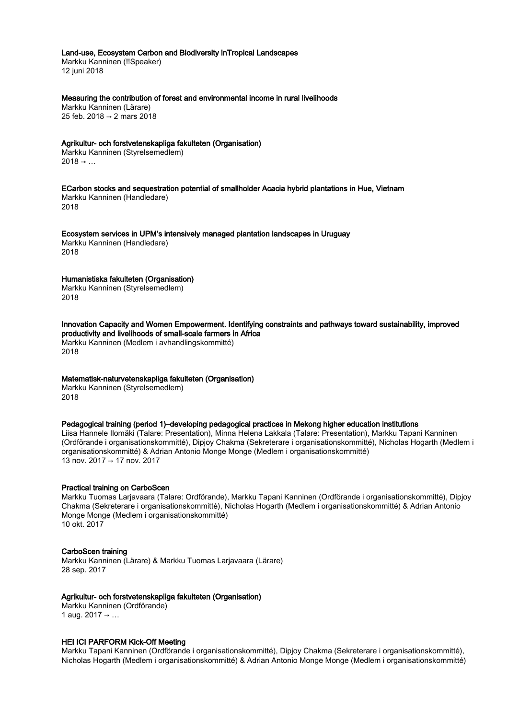#### Land-use, Ecosystem Carbon and Biodiversity inTropical Landscapes

Markku Kanninen (!!Speaker) 12 juni 2018

Measuring the contribution of forest and environmental income in rural livelihoods

Markku Kanninen (Lärare) 25 feb. 2018 → 2 mars 2018

Agrikultur- och forstvetenskapliga fakulteten (Organisation)

Markku Kanninen (Styrelsemedlem)  $2018 \rightarrow ...$ 

ECarbon stocks and sequestration potential of smallholder Acacia hybrid plantations in Hue, Vietnam Markku Kanninen (Handledare) 2018

Ecosystem services in UPM's intensively managed plantation landscapes in Uruguay Markku Kanninen (Handledare)

2018

# Humanistiska fakulteten (Organisation)

Markku Kanninen (Styrelsemedlem) 2018

# Innovation Capacity and Women Empowerment. Identifying constraints and pathways toward sustainability, improved productivity and livelihoods of small-scale farmers in Africa

Markku Kanninen (Medlem i avhandlingskommitté) 2018

# Matematisk-naturvetenskapliga fakulteten (Organisation)

Markku Kanninen (Styrelsemedlem) 2018

# Pedagogical training (period 1)–developing pedagogical practices in Mekong higher education institutions

Liisa Hannele Ilomäki (Talare: Presentation), Minna Helena Lakkala (Talare: Presentation), Markku Tapani Kanninen (Ordförande i organisationskommitté), Dipjoy Chakma (Sekreterare i organisationskommitté), Nicholas Hogarth (Medlem i organisationskommitté) & Adrian Antonio Monge Monge (Medlem i organisationskommitté) 13 nov. 2017 → 17 nov. 2017

# Practical training on CarboScen

Markku Tuomas Larjavaara (Talare: Ordförande), Markku Tapani Kanninen (Ordförande i organisationskommitté), Dipjoy Chakma (Sekreterare i organisationskommitté), Nicholas Hogarth (Medlem i organisationskommitté) & Adrian Antonio Monge Monge (Medlem i organisationskommitté) 10 okt. 2017

# CarboScen training

Markku Kanninen (Lärare) & Markku Tuomas Larjavaara (Lärare) 28 sep. 2017

# Agrikultur- och forstvetenskapliga fakulteten (Organisation)

Markku Kanninen (Ordförande) 1 aug.  $2017 → ...$ 

# HEI ICI PARFORM Kick-Off Meeting

Markku Tapani Kanninen (Ordförande i organisationskommitté), Dipjoy Chakma (Sekreterare i organisationskommitté), Nicholas Hogarth (Medlem i organisationskommitté) & Adrian Antonio Monge Monge (Medlem i organisationskommitté)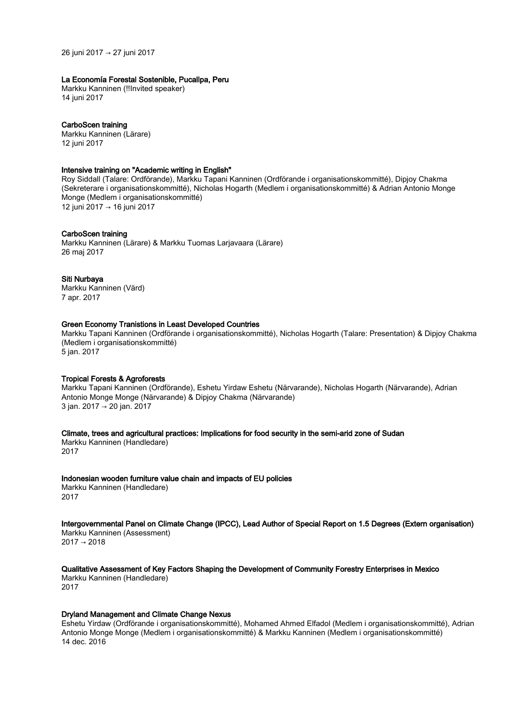26 juni 2017 → 27 juni 2017

# La Economía Forestal Sostenible, Pucallpa, Peru

Markku Kanninen (!!Invited speaker) 14 juni 2017

# CarboScen training

Markku Kanninen (Lärare) 12 juni 2017

# Intensive training on "Academic writing in English"

Roy Siddall (Talare: Ordförande), Markku Tapani Kanninen (Ordförande i organisationskommitté), Dipjoy Chakma (Sekreterare i organisationskommitté), Nicholas Hogarth (Medlem i organisationskommitté) & Adrian Antonio Monge Monge (Medlem i organisationskommitté) 12 juni 2017 → 16 juni 2017

# CarboScen training

Markku Kanninen (Lärare) & Markku Tuomas Larjavaara (Lärare) 26 maj 2017

# Siti Nurbaya

Markku Kanninen (Värd) 7 apr. 2017

# Green Economy Tranistions in Least Developed Countries

Markku Tapani Kanninen (Ordförande i organisationskommitté), Nicholas Hogarth (Talare: Presentation) & Dipjoy Chakma (Medlem i organisationskommitté) 5 jan. 2017

# Tropical Forests & Agroforests

Markku Tapani Kanninen (Ordförande), Eshetu Yirdaw Eshetu (Närvarande), Nicholas Hogarth (Närvarande), Adrian Antonio Monge Monge (Närvarande) & Dipjoy Chakma (Närvarande) 3 jan. 2017 → 20 jan. 2017

# Climate, trees and agricultural practices: Implications for food security in the semi-arid zone of Sudan

Markku Kanninen (Handledare)

2017

# Indonesian wooden furniture value chain and impacts of EU policies

Markku Kanninen (Handledare) 2017

Intergovernmental Panel on Climate Change (IPCC), Lead Author of Special Report on 1.5 Degrees (Extern organisation) Markku Kanninen (Assessment)

 $2017 \rightarrow 2018$ 

# Qualitative Assessment of Key Factors Shaping the Development of Community Forestry Enterprises in Mexico

Markku Kanninen (Handledare) 2017

# Dryland Management and Climate Change Nexus

Eshetu Yirdaw (Ordförande i organisationskommitté), Mohamed Ahmed Elfadol (Medlem i organisationskommitté), Adrian Antonio Monge Monge (Medlem i organisationskommitté) & Markku Kanninen (Medlem i organisationskommitté) 14 dec. 2016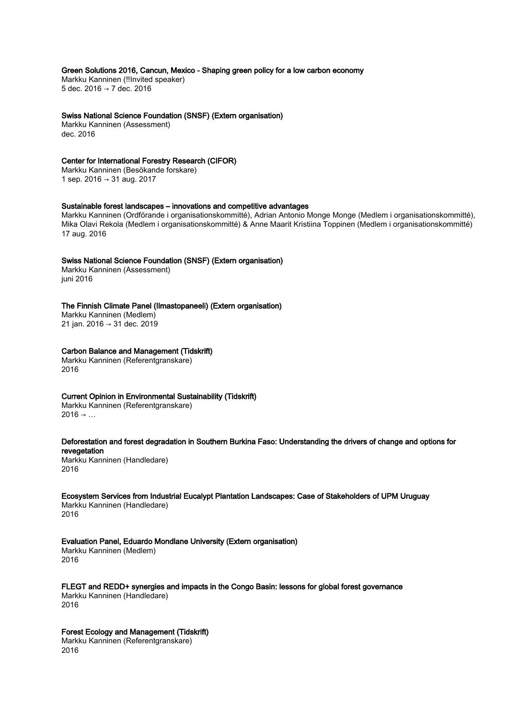Green Solutions 2016, Cancun, Mexico - Shaping green policy for a low carbon economy

Markku Kanninen (!!Invited speaker) 5 dec. 2016 → 7 dec. 2016

Swiss National Science Foundation (SNSF) (Extern organisation) Markku Kanninen (Assessment) dec. 2016

# Center for International Forestry Research (CIFOR)

Markku Kanninen (Besökande forskare) 1 sep. 2016 → 31 aug. 2017

# Sustainable forest landscapes – innovations and competitive advantages

Markku Kanninen (Ordförande i organisationskommitté), Adrian Antonio Monge Monge (Medlem i organisationskommitté), Mika Olavi Rekola (Medlem i organisationskommitté) & Anne Maarit Kristiina Toppinen (Medlem i organisationskommitté) 17 aug. 2016

Swiss National Science Foundation (SNSF) (Extern organisation) Markku Kanninen (Assessment) juni 2016

# The Finnish Climate Panel (Ilmastopaneeli) (Extern organisation)

Markku Kanninen (Medlem) 21 jan. 2016 → 31 dec. 2019

# Carbon Balance and Management (Tidskrift)

Markku Kanninen (Referentgranskare) 2016

# Current Opinion in Environmental Sustainability (Tidskrift)

Markku Kanninen (Referentgranskare)  $2016 \rightarrow ...$ 

Deforestation and forest degradation in Southern Burkina Faso: Understanding the drivers of change and options for revegetation

Markku Kanninen (Handledare) 2016

Ecosystem Services from Industrial Eucalypt Plantation Landscapes: Case of Stakeholders of UPM Uruguay Markku Kanninen (Handledare) 2016

# Evaluation Panel, Eduardo Mondlane University (Extern organisation)

Markku Kanninen (Medlem) 2016

FLEGT and REDD+ synergies and impacts in the Congo Basin: lessons for global forest governance Markku Kanninen (Handledare) 2016

# Forest Ecology and Management (Tidskrift)

Markku Kanninen (Referentgranskare) 2016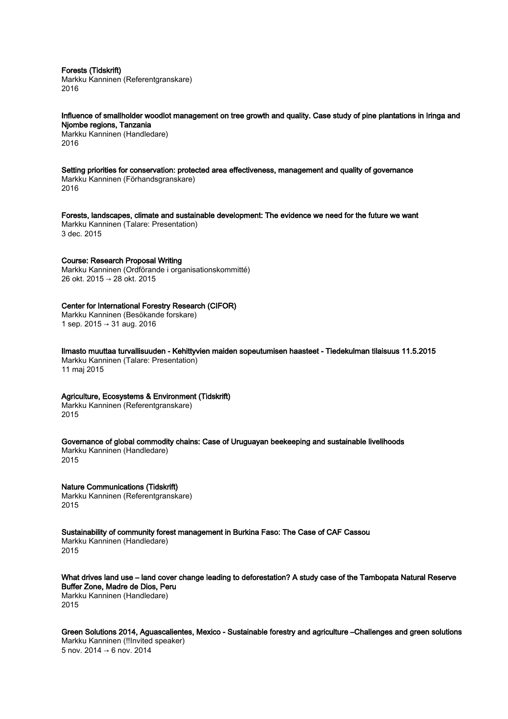Forests (Tidskrift)

Markku Kanninen (Referentgranskare) 2016

Influence of smallholder woodlot management on tree growth and quality. Case study of pine plantations in Iringa and Njombe regions, Tanzania

Markku Kanninen (Handledare) 2016

Setting priorities for conservation: protected area effectiveness, management and quality of governance Markku Kanninen (Förhandsgranskare) 2016

Forests, landscapes, climate and sustainable development: The evidence we need for the future we want Markku Kanninen (Talare: Presentation) 3 dec. 2015

Course: Research Proposal Writing

Markku Kanninen (Ordförande i organisationskommitté) 26 okt. 2015 → 28 okt. 2015

# Center for International Forestry Research (CIFOR)

Markku Kanninen (Besökande forskare) 1 sep. 2015 → 31 aug. 2016

Ilmasto muuttaa turvallisuuden - Kehittyvien maiden sopeutumisen haasteet - Tiedekulman tilaisuus 11.5.2015 Markku Kanninen (Talare: Presentation)

11 maj 2015

# Agriculture, Ecosystems & Environment (Tidskrift)

Markku Kanninen (Referentgranskare) 2015

Governance of global commodity chains: Case of Uruguayan beekeeping and sustainable livelihoods

Markku Kanninen (Handledare) 2015

Nature Communications (Tidskrift) Markku Kanninen (Referentgranskare) 2015

Sustainability of community forest management in Burkina Faso: The Case of CAF Cassou Markku Kanninen (Handledare) 2015

What drives land use – land cover change leading to deforestation? A study case of the Tambopata Natural Reserve Buffer Zone, Madre de Dios, Peru Markku Kanninen (Handledare) 2015

Green Solutions 2014, Aguascalientes, Mexico - Sustainable forestry and agriculture –Challenges and green solutions Markku Kanninen (!!Invited speaker) 5 nov. 2014 → 6 nov. 2014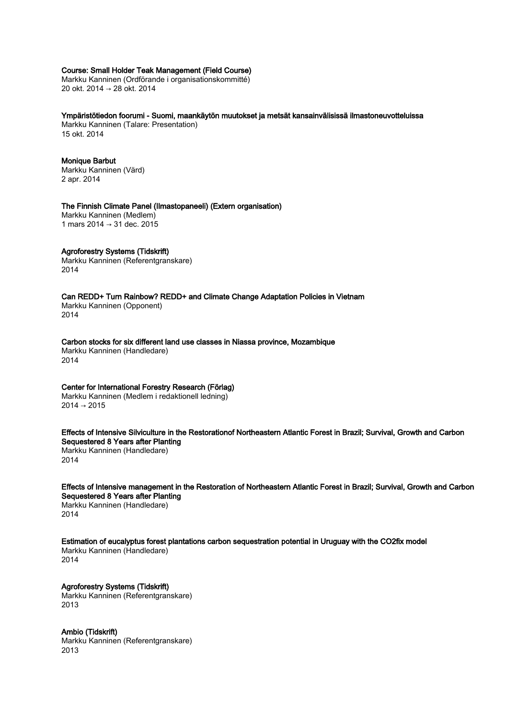# Course: Small Holder Teak Management (Field Course)

Markku Kanninen (Ordförande i organisationskommitté) 20 okt. 2014 → 28 okt. 2014

### Ympäristötiedon foorumi - Suomi, maankäytön muutokset ja metsät kansainvälisissä ilmastoneuvotteluissa

Markku Kanninen (Talare: Presentation) 15 okt. 2014

# Monique Barbut

Markku Kanninen (Värd) 2 apr. 2014

The Finnish Climate Panel (Ilmastopaneeli) (Extern organisation) Markku Kanninen (Medlem) 1 mars 2014 → 31 dec. 2015

#### Agroforestry Systems (Tidskrift)

Markku Kanninen (Referentgranskare) 2014

Can REDD+ Turn Rainbow? REDD+ and Climate Change Adaptation Policies in Vietnam

Markku Kanninen (Opponent) 2014

Carbon stocks for six different land use classes in Niassa province, Mozambique Markku Kanninen (Handledare)

2014

# Center for International Forestry Research (Förlag)

Markku Kanninen (Medlem i redaktionell ledning)  $2014 \rightarrow 2015$ 

Effects of Intensive Silviculture in the Restorationof Northeastern Atlantic Forest in Brazil; Survival, Growth and Carbon Sequestered 8 Years after Planting Markku Kanninen (Handledare) 2014

Effects of Intensive management in the Restoration of Northeastern Atlantic Forest in Brazil; Survival, Growth and Carbon Sequestered 8 Years after Planting Markku Kanninen (Handledare) 2014

Estimation of eucalyptus forest plantations carbon sequestration potential in Uruguay with the CO2fix model Markku Kanninen (Handledare) 2014

Agroforestry Systems (Tidskrift) Markku Kanninen (Referentgranskare) 2013

Ambio (Tidskrift) Markku Kanninen (Referentgranskare) 2013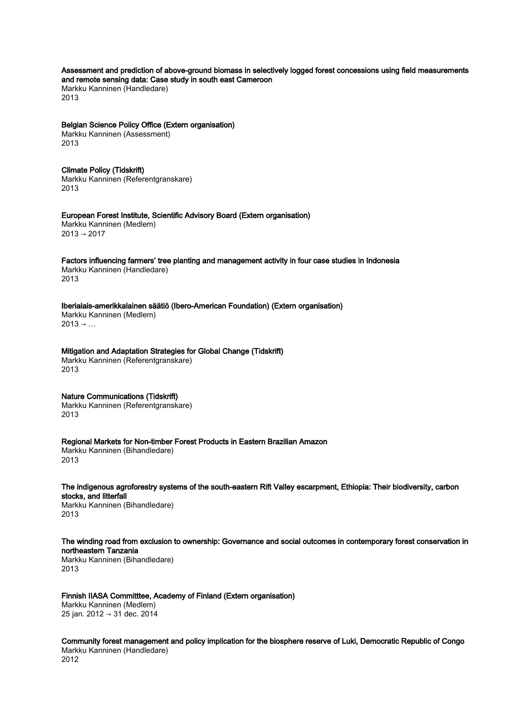Assessment and prediction of above-ground biomass in selectively logged forest concessions using field measurements and remote sensing data: Case study in south east Cameroon

Markku Kanninen (Handledare) 2013

# Belgian Science Policy Office (Extern organisation)

Markku Kanninen (Assessment) 2013

# Climate Policy (Tidskrift) Markku Kanninen (Referentgranskare) 2013

European Forest Institute, Scientific Advisory Board (Extern organisation) Markku Kanninen (Medlem)  $2013 \rightarrow 2017$ 

Factors influencing farmers' tree planting and management activity in four case studies in Indonesia Markku Kanninen (Handledare) 2013

Iberialais-amerikkalainen säätiö (Ibero-American Foundation) (Extern organisation) Markku Kanninen (Medlem)  $2013 \rightarrow ...$ 

# Mitigation and Adaptation Strategies for Global Change (Tidskrift)

Markku Kanninen (Referentgranskare) 2013

# Nature Communications (Tidskrift)

Markku Kanninen (Referentgranskare) 2013

Regional Markets for Non-timber Forest Products in Eastern Brazilian Amazon Markku Kanninen (Bihandledare) 2013

The indigenous agroforestry systems of the south-eastern Rift Valley escarpment, Ethiopia: Their biodiversity, carbon stocks, and litterfall

Markku Kanninen (Bihandledare) 2013

The winding road from exclusion to ownership: Governance and social outcomes in contemporary forest conservation in northeastern Tanzania

Markku Kanninen (Bihandledare) 2013

Finnish IIASA Committtee, Academy of Finland (Extern organisation) Markku Kanninen (Medlem) 25 jan. 2012 → 31 dec. 2014

Community forest management and policy implication for the biosphere reserve of Luki, Democratic Republic of Congo Markku Kanninen (Handledare) 2012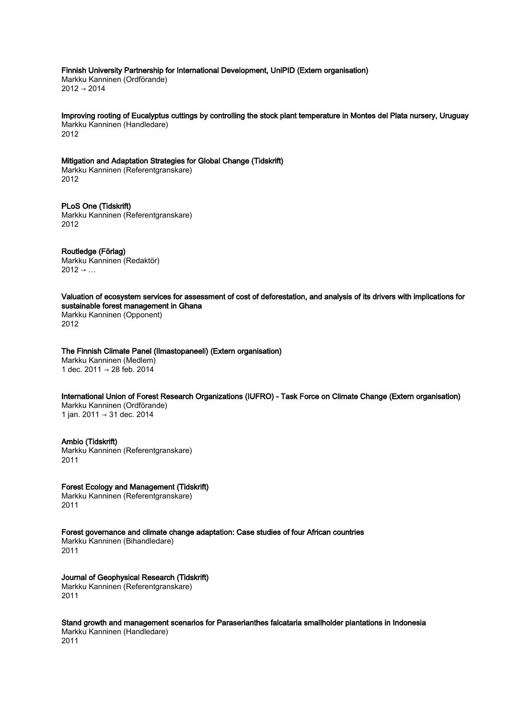Finnish University Partnership for International Development, UniPID (Extern organisation)

Markku Kanninen (Ordförande) 2012 → 2014

Improving rooting of Eucalyptus cuttings by controlling the stock plant temperature in Montes del Plata nursery, Uruguay Markku Kanninen (Handledare) 2012

Mitigation and Adaptation Strategies for Global Change (Tidskrift) Markku Kanninen (Referentgranskare)

PLoS One (Tidskrift) Markku Kanninen (Referentgranskare) 2012

Routledge (Förlag) Markku Kanninen (Redaktör)  $2012 \rightarrow ...$ 

2012

Valuation of ecosystem services for assessment of cost of deforestation, and analysis of its drivers with implications for sustainable forest management in Ghana

Markku Kanninen (Opponent) 2012

The Finnish Climate Panel (Ilmastopaneeli) (Extern organisation) Markku Kanninen (Medlem) 1 dec. 2011 → 28 feb. 2014

International Union of Forest Research Organizations (IUFRO) - Task Force on Climate Change (Extern organisation) Markku Kanninen (Ordförande) 1 jan. 2011 → 31 dec. 2014

# Ambio (Tidskrift)

Markku Kanninen (Referentgranskare) 2011

Forest Ecology and Management (Tidskrift) Markku Kanninen (Referentgranskare) 2011

Forest governance and climate change adaptation: Case studies of four African countries

Markku Kanninen (Bihandledare) 2011

# Journal of Geophysical Research (Tidskrift)

Markku Kanninen (Referentgranskare) 2011

Stand growth and management scenarios for Paraserianthes falcataria smallholder plantations in Indonesia Markku Kanninen (Handledare) 2011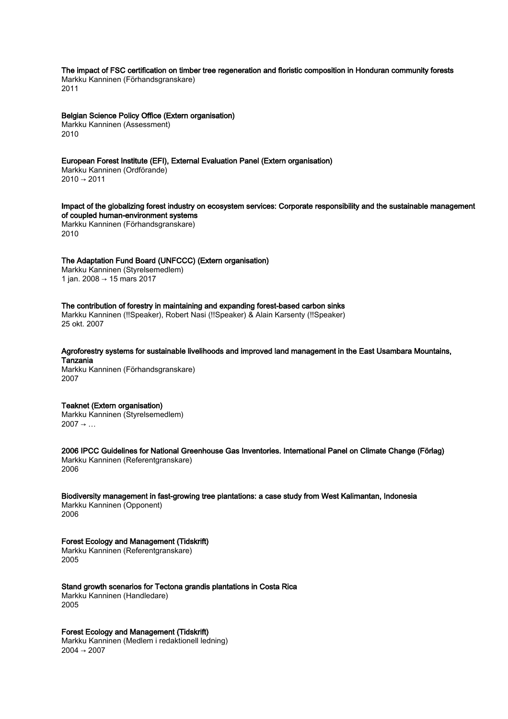The impact of FSC certification on timber tree regeneration and floristic composition in Honduran community forests

Markku Kanninen (Förhandsgranskare) 2011

Belgian Science Policy Office (Extern organisation) Markku Kanninen (Assessment) 2010

# European Forest Institute (EFI), External Evaluation Panel (Extern organisation)

Markku Kanninen (Ordförande)  $2010 \rightarrow 2011$ 

# Impact of the globalizing forest industry on ecosystem services: Corporate responsibility and the sustainable management of coupled human-environment systems

Markku Kanninen (Förhandsgranskare) 2010

# The Adaptation Fund Board (UNFCCC) (Extern organisation)

Markku Kanninen (Styrelsemedlem) 1 jan. 2008 → 15 mars 2017

The contribution of forestry in maintaining and expanding forest-based carbon sinks Markku Kanninen (!!Speaker), Robert Nasi (!!Speaker) & Alain Karsenty (!!Speaker) 25 okt. 2007

## Agroforestry systems for sustainable livelihoods and improved land management in the East Usambara Mountains, Tanzania Markku Kanninen (Förhandsgranskare)

2007

# Teaknet (Extern organisation)

Markku Kanninen (Styrelsemedlem)  $2007 \rightarrow ...$ 

2006 IPCC Guidelines for National Greenhouse Gas Inventories. International Panel on Climate Change (Förlag) Markku Kanninen (Referentgranskare) 2006

Biodiversity management in fast-growing tree plantations: a case study from West Kalimantan, Indonesia Markku Kanninen (Opponent) 2006

# Forest Ecology and Management (Tidskrift)

Markku Kanninen (Referentgranskare) 2005

Stand growth scenarios for Tectona grandis plantations in Costa Rica Markku Kanninen (Handledare) 2005

Forest Ecology and Management (Tidskrift) Markku Kanninen (Medlem i redaktionell ledning)  $2004 \rightarrow 2007$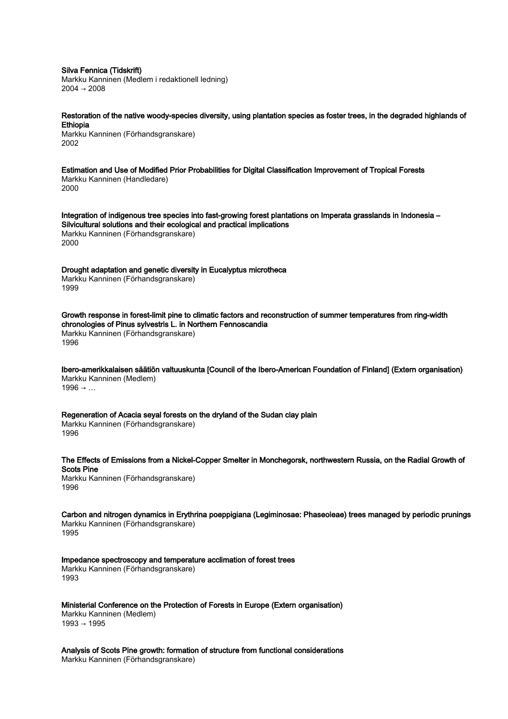Silva Fennica (Tidskrift)

Markku Kanninen (Medlem i redaktionell ledning) 2004 → 2008

Restoration of the native woody-species diversity, using plantation species as foster trees, in the degraded highlands of Ethiopia

Markku Kanninen (Förhandsgranskare) 2002

Estimation and Use of Modified Prior Probabilities for Digital Classification Improvement of Tropical Forests Markku Kanninen (Handledare) 2000

Integration of indigenous tree species into fast-growing forest plantations on Imperata grasslands in Indonesia – Silvicultural solutions and their ecological and practical implications Markku Kanninen (Förhandsgranskare) 2000

Drought adaptation and genetic diversity in Eucalyptus microtheca

Markku Kanninen (Förhandsgranskare) 1999

Growth response in forest-limit pine to climatic factors and reconstruction of summer temperatures from ring-width chronologies of Pinus sylvestris L. in Northern Fennoscandia Markku Kanninen (Förhandsgranskare)

1996

Ibero-amerikkalaisen säätiön valtuuskunta [Council of the Ibero-American Foundation of Finland] (Extern organisation) Markku Kanninen (Medlem)  $1996 \rightarrow \dots$ 

Regeneration of Acacia seyal forests on the dryland of the Sudan clay plain Markku Kanninen (Förhandsgranskare) 1996

The Effects of Emissions from a Nickel-Copper Smelter in Monchegorsk, northwestern Russia, on the Radial Growth of Scots Pine Markku Kanninen (Förhandsgranskare)

1996

Carbon and nitrogen dynamics in Erythrina poeppigiana (Legiminosae: Phaseoleae) trees managed by periodic prunings Markku Kanninen (Förhandsgranskare) 1995

Impedance spectroscopy and temperature acclimation of forest trees Markku Kanninen (Förhandsgranskare) 1993

Ministerial Conference on the Protection of Forests in Europe (Extern organisation) Markku Kanninen (Medlem) 1993 → 1995

Analysis of Scots Pine growth: formation of structure from functional considerations Markku Kanninen (Förhandsgranskare)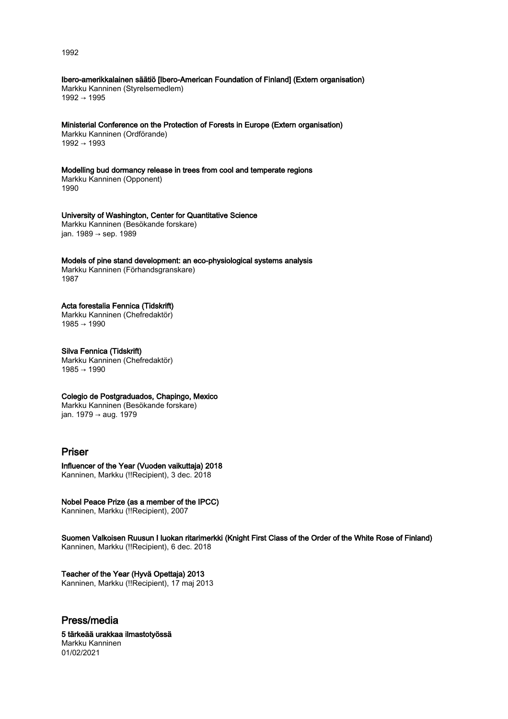Ibero-amerikkalainen säätiö [Ibero-American Foundation of Finland] (Extern organisation) Markku Kanninen (Styrelsemedlem) 1992 → 1995

Ministerial Conference on the Protection of Forests in Europe (Extern organisation) Markku Kanninen (Ordförande) 1992 → 1993

Modelling bud dormancy release in trees from cool and temperate regions Markku Kanninen (Opponent) 1990

University of Washington, Center for Quantitative Science Markku Kanninen (Besökande forskare) jan. 1989 → sep. 1989

Models of pine stand development: an eco-physiological systems analysis Markku Kanninen (Förhandsgranskare) 1987

# Acta forestalia Fennica (Tidskrift)

Markku Kanninen (Chefredaktör)  $1985 \rightarrow 1990$ 

Silva Fennica (Tidskrift) Markku Kanninen (Chefredaktör) 1985 → 1990

Colegio de Postgraduados, Chapingo, Mexico

Markku Kanninen (Besökande forskare) jan. 1979 → aug. 1979

# Priser

Influencer of the Year (Vuoden vaikuttaja) 2018 Kanninen, Markku (!!Recipient), 3 dec. 2018

Nobel Peace Prize (as a member of the IPCC)

Kanninen, Markku (!!Recipient), 2007

Suomen Valkoisen Ruusun I luokan ritarimerkki (Knight First Class of the Order of the White Rose of Finland) Kanninen, Markku (!!Recipient), 6 dec. 2018

Teacher of the Year (Hyvä Opettaja) 2013 Kanninen, Markku (!!Recipient), 17 maj 2013

Press/media 5 tärkeää urakkaa ilmastotyössä Markku Kanninen 01/02/2021

1992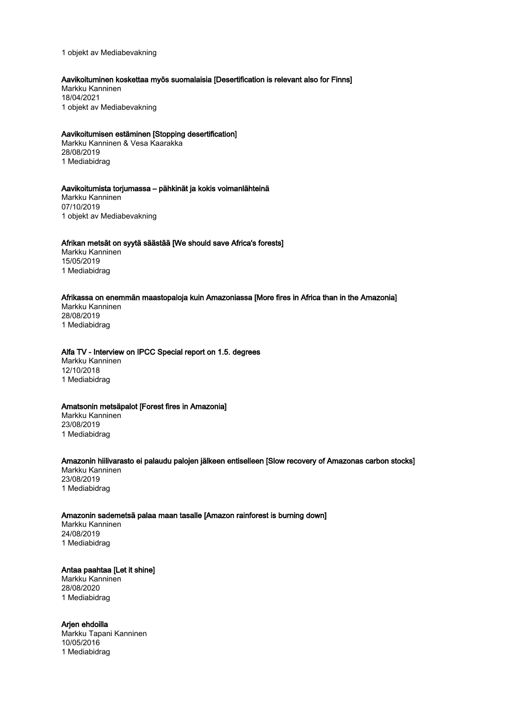1 objekt av Mediabevakning

# Aavikoituminen koskettaa myös suomalaisia [Desertification is relevant also for Finns]

Markku Kanninen 18/04/2021 1 objekt av Mediabevakning

# Aavikoitumisen estäminen [Stopping desertification]

Markku Kanninen & Vesa Kaarakka 28/08/2019 1 Mediabidrag

# Aavikoitumista torjumassa – pähkinät ja kokis voimanlähteinä

Markku Kanninen 07/10/2019 1 objekt av Mediabevakning

# Afrikan metsät on syytä säästää [We should save Africa's forests]

Markku Kanninen 15/05/2019 1 Mediabidrag

# Afrikassa on enemmän maastopaloja kuin Amazoniassa [More fires in Africa than in the Amazonia]

Markku Kanninen 28/08/2019 1 Mediabidrag

# Alfa TV - Interview on IPCC Special report on 1.5. degrees

Markku Kanninen 12/10/2018 1 Mediabidrag

# Amatsonin metsäpalot [Forest fires in Amazonia]

Markku Kanninen 23/08/2019 1 Mediabidrag

# Amazonin hiilivarasto ei palaudu palojen jälkeen entiselleen [Slow recovery of Amazonas carbon stocks]

Markku Kanninen 23/08/2019 1 Mediabidrag

# Amazonin sademetsä palaa maan tasalle [Amazon rainforest is burning down]

Markku Kanninen 24/08/2019 1 Mediabidrag

# Antaa paahtaa [Let it shine]

Markku Kanninen 28/08/2020 1 Mediabidrag

# Arjen ehdoilla

Markku Tapani Kanninen 10/05/2016 1 Mediabidrag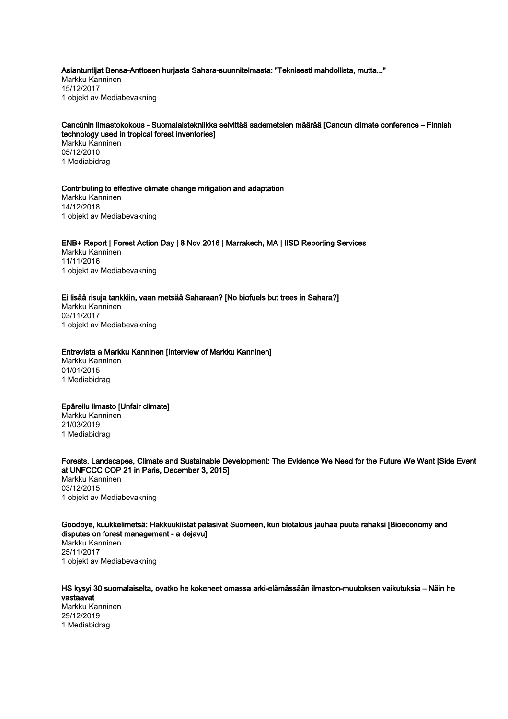# Asiantuntijat Bensa-Anttosen hurjasta Sahara-suunnitelmasta: "Teknisesti mahdollista, mutta..."

Markku Kanninen 15/12/2017 1 objekt av Mediabevakning

# Cancúnin ilmastokokous - Suomalaistekniikka selvittää sademetsien määrää [Cancun climate conference – Finnish

technology used in tropical forest inventories] Markku Kanninen 05/12/2010 1 Mediabidrag

### Contributing to effective climate change mitigation and adaptation

Markku Kanninen 14/12/2018 1 objekt av Mediabevakning

### ENB+ Report | Forest Action Day | 8 Nov 2016 | Marrakech, MA | IISD Reporting Services

Markku Kanninen 11/11/2016 1 objekt av Mediabevakning

# Ei lisää risuja tankkiin, vaan metsää Saharaan? [No biofuels but trees in Sahara?]

Markku Kanninen 03/11/2017 1 objekt av Mediabevakning

### Entrevista a Markku Kanninen [Interview of Markku Kanninen]

Markku Kanninen 01/01/2015 1 Mediabidrag

# Epäreilu ilmasto [Unfair climate]

Markku Kanninen 21/03/2019 1 Mediabidrag

### Forests, Landscapes, Climate and Sustainable Development: The Evidence We Need for the Future We Want [Side Event at UNFCCC COP 21 in Paris, December 3, 2015] Markku Kanninen

03/12/2015 1 objekt av Mediabevakning

### Goodbye, kuukkelimetsä: Hakkuukiistat palasivat Suomeen, kun biotalous jauhaa puuta rahaksi [Bioeconomy and disputes on forest management - a dejavu]

Markku Kanninen 25/11/2017 1 objekt av Mediabevakning

# HS kysyi 30 suomalaiselta, ovatko he kokeneet omassa arki-elämässään ilmaston-muutoksen vaikutuksia – Näin he vastaavat Markku Kanninen 29/12/2019

1 Mediabidrag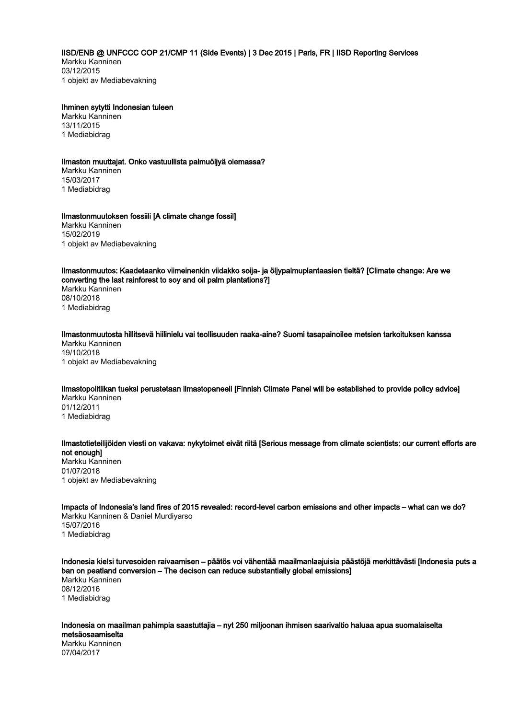IISD/ENB @ UNFCCC COP 21/CMP 11 (Side Events) | 3 Dec 2015 | Paris, FR | IISD Reporting Services

Markku Kanninen 03/12/2015 1 objekt av Mediabevakning

Ihminen sytytti Indonesian tuleen Markku Kanninen

13/11/2015 1 Mediabidrag

# Ilmaston muuttajat. Onko vastuullista palmuöljyä olemassa?

Markku Kanninen 15/03/2017 1 Mediabidrag

# Ilmastonmuutoksen fossiili [A climate change fossil]

Markku Kanninen 15/02/2019 1 objekt av Mediabevakning

#### Ilmastonmuutos: Kaadetaanko viimeinenkin viidakko soija- ja öljypalmuplantaasien tieltä? [Climate change: Are we converting the last rainforest to soy and oil palm plantations?]

Markku Kanninen 08/10/2018 1 Mediabidrag

# Ilmastonmuutosta hillitsevä hiilinielu vai teollisuuden raaka-aine? Suomi tasapainoilee metsien tarkoituksen kanssa

Markku Kanninen 19/10/2018 1 objekt av Mediabevakning

# Ilmastopolitiikan tueksi perustetaan ilmastopaneeli [Finnish Climate Panel will be established to provide policy advice]

Markku Kanninen 01/12/2011 1 Mediabidrag

# Ilmastotieteilijöiden viesti on vakava: nykytoimet eivät riitä [Serious message from climate scientists: our current efforts are not enough]

Markku Kanninen 01/07/2018 1 objekt av Mediabevakning

# Impacts of Indonesia's land fires of 2015 revealed: record-level carbon emissions and other impacts – what can we do? Markku Kanninen & Daniel Murdiyarso

15/07/2016 1 Mediabidrag

# Indonesia kielsi turvesoiden raivaamisen – päätös voi vähentää maailmanlaajuisia päästöjä merkittävästi [Indonesia puts a ban on peatland conversion – The decison can reduce substantially global emissions]

Markku Kanninen 08/12/2016 1 Mediabidrag

#### Indonesia on maailman pahimpia saastuttajia – nyt 250 miljoonan ihmisen saarivaltio haluaa apua suomalaiselta metsäosaamiselta

Markku Kanninen 07/04/2017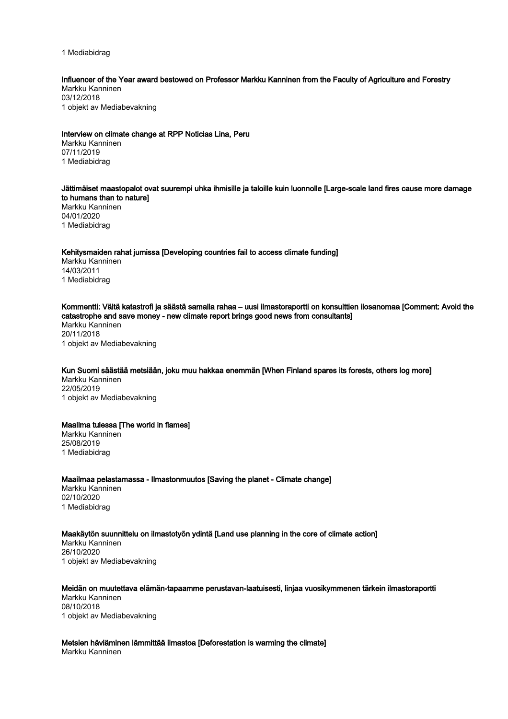1 Mediabidrag

# Influencer of the Year award bestowed on Professor Markku Kanninen from the Faculty of Agriculture and Forestry

Markku Kanninen 03/12/2018 1 objekt av Mediabevakning

### Interview on climate change at RPP Noticias Lina, Peru

Markku Kanninen 07/11/2019 1 Mediabidrag

# Jättimäiset maastopalot ovat suurempi uhka ihmisille ja taloille kuin luonnolle [Large-scale land fires cause more damage to humans than to nature]

Markku Kanninen 04/01/2020 1 Mediabidrag

# Kehitysmaiden rahat jumissa [Developing countries fail to access climate funding]

Markku Kanninen 14/03/2011 1 Mediabidrag

# Kommentti: Vältä katastrofi ja säästä samalla rahaa – uusi ilmastoraportti on konsulttien ilosanomaa [Comment: Avoid the catastrophe and save money - new climate report brings good news from consultants]

Markku Kanninen 20/11/2018 1 objekt av Mediabevakning

# Kun Suomi säästää metsiään, joku muu hakkaa enemmän [When Finland spares its forests, others log more]

Markku Kanninen 22/05/2019 1 objekt av Mediabevakning

# Maailma tulessa [The world in flames]

Markku Kanninen 25/08/2019 1 Mediabidrag

# Maailmaa pelastamassa - Ilmastonmuutos [Saving the planet - Climate change]

Markku Kanninen 02/10/2020 1 Mediabidrag

# Maakäytön suunnittelu on ilmastotyön ydintä [Land use planning in the core of climate action]

Markku Kanninen 26/10/2020 1 objekt av Mediabevakning

# Meidän on muutettava elämän-tapaamme perustavan-laatuisesti, linjaa vuosikymmenen tärkein ilmastoraportti Markku Kanninen 08/10/2018 1 objekt av Mediabevakning

# Metsien häviäminen lämmittää ilmastoa [Deforestation is warming the climate]

Markku Kanninen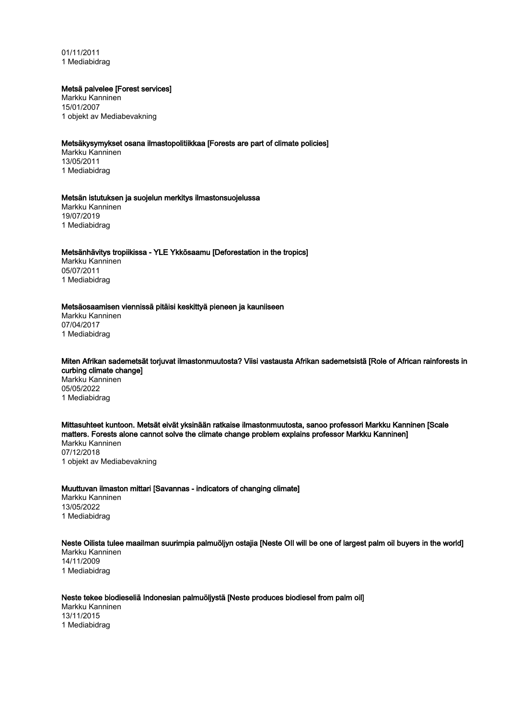01/11/2011 1 Mediabidrag

#### Metsä palvelee [Forest services]

Markku Kanninen 15/01/2007 1 objekt av Mediabevakning

### Metsäkysymykset osana ilmastopolitiikkaa [Forests are part of climate policies]

Markku Kanninen 13/05/2011 1 Mediabidrag

### Metsän istutuksen ja suojelun merkitys ilmastonsuojelussa

Markku Kanninen 19/07/2019 1 Mediabidrag

### Metsänhävitys tropiikissa - YLE Ykkösaamu [Deforestation in the tropics]

Markku Kanninen 05/07/2011 1 Mediabidrag

#### Metsäosaamisen viennissä pitäisi keskittyä pieneen ja kauniiseen

Markku Kanninen 07/04/2017 1 Mediabidrag

# Miten Afrikan sademetsät torjuvat ilmastonmuutosta? Viisi vastausta Afrikan sademetsistä [Role of African rainforests in curbing climate change]

Markku Kanninen 05/05/2022 1 Mediabidrag

Mittasuhteet kuntoon. Metsät eivät yksinään ratkaise ilmastonmuutosta, sanoo professori Markku Kanninen [Scale matters. Forests alone cannot solve the climate change problem explains professor Markku Kanninen] Markku Kanninen 07/12/2018

1 objekt av Mediabevakning

# Muuttuvan ilmaston mittari [Savannas - indicators of changing climate]

Markku Kanninen 13/05/2022 1 Mediabidrag

# Neste Oilista tulee maailman suurimpia palmuöljyn ostajia [Neste OIl will be one of largest palm oil buyers in the world]

Markku Kanninen 14/11/2009 1 Mediabidrag

Neste tekee biodieseliä Indonesian palmuöljystä [Neste produces biodiesel from palm oil] Markku Kanninen 13/11/2015 1 Mediabidrag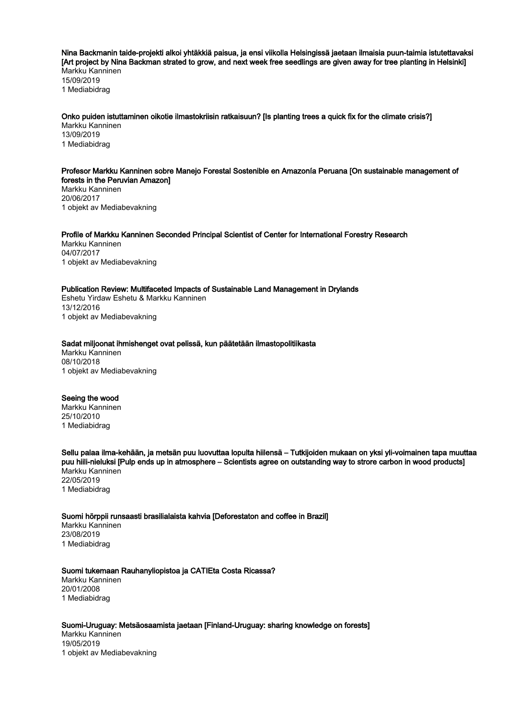Nina Backmanin taide-projekti alkoi yhtäkkiä paisua, ja ensi viikolla Helsingissä jaetaan ilmaisia puun-taimia istutettavaksi [Art project by Nina Backman strated to grow, and next week free seedlings are given away for tree planting in Helsinki] Markku Kanninen 15/09/2019

1 Mediabidrag

# Onko puiden istuttaminen oikotie ilmastokriisin ratkaisuun? [Is planting trees a quick fix for the climate crisis?]

Markku Kanninen 13/09/2019 1 Mediabidrag

#### Profesor Markku Kanninen sobre Manejo Forestal Sostenible en Amazonía Peruana [On sustainable management of forests in the Peruvian Amazon]

Markku Kanninen 20/06/2017 1 objekt av Mediabevakning

# Profile of Markku Kanninen Seconded Principal Scientist of Center for International Forestry Research

Markku Kanninen 04/07/2017 1 objekt av Mediabevakning

# Publication Review: Multifaceted Impacts of Sustainable Land Management in Drylands

Eshetu Yirdaw Eshetu & Markku Kanninen 13/12/2016 1 objekt av Mediabevakning

# Sadat miljoonat ihmishenget ovat pelissä, kun päätetään ilmastopolitiikasta

Markku Kanninen 08/10/2018 1 objekt av Mediabevakning

# Seeing the wood

Markku Kanninen 25/10/2010 1 Mediabidrag

Sellu palaa ilma-kehään, ja metsän puu luovuttaa lopulta hiilensä – Tutkijoiden mukaan on yksi yli-voimainen tapa muuttaa puu hiili-nieluksi [Pulp ends up in atmosphere – Scientists agree on outstanding way to strore carbon in wood products] Markku Kanninen 22/05/2019 1 Mediabidrag

# Suomi hörppii runsaasti brasilialaista kahvia [Deforestaton and coffee in Brazil]

Markku Kanninen 23/08/2019 1 Mediabidrag

# Suomi tukemaan Rauhanyliopistoa ja CATIEta Costa Ricassa?

Markku Kanninen 20/01/2008 1 Mediabidrag

# Suomi-Uruguay: Metsäosaamista jaetaan [Finland-Uruguay: sharing knowledge on forests]

Markku Kanninen 19/05/2019 1 objekt av Mediabevakning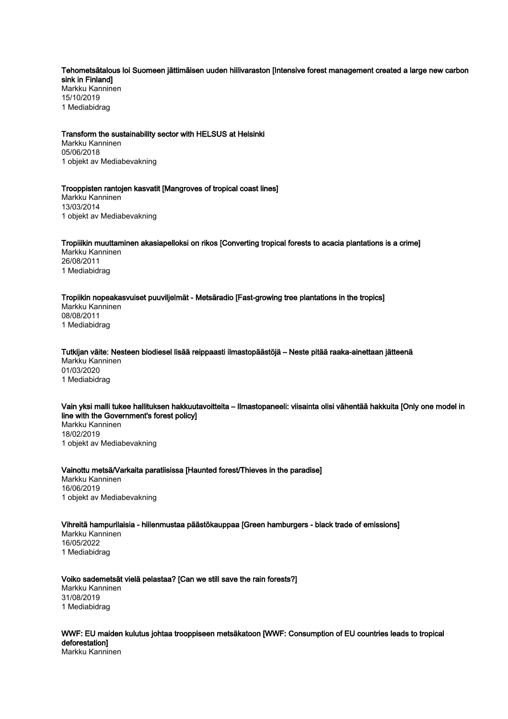#### Tehometsätalous loi Suomeen jättimäisen uuden hiilivaraston [Intensive forest management created a large new carbon sink in Finland]

Markku Kanninen 15/10/2019 1 Mediabidrag

### Transform the sustainability sector with HELSUS at Helsinki

Markku Kanninen 05/06/2018 1 objekt av Mediabevakning

# Trooppisten rantojen kasvatit [Mangroves of tropical coast lines]

Markku Kanninen 13/03/2014 1 objekt av Mediabevakning

# Tropiiikin muuttaminen akasiapelloksi on rikos [Converting tropical forests to acacia plantations is a crime]

Markku Kanninen 26/08/2011 1 Mediabidrag

# Tropiikin nopeakasvuiset puuviljelmät - Metsäradio [Fast-growing tree plantations in the tropics]

Markku Kanninen 08/08/2011 1 Mediabidrag

#### Tutkijan väite: Nesteen biodiesel lisää reippaasti ilmastopäästöjä – Neste pitää raaka-ainettaan jätteenä Markku Kanninen

01/03/2020 1 Mediabidrag

# Vain yksi malli tukee hallituksen hakkuutavoitteita – Ilmastopaneeli: viisainta olisi vähentää hakkuita [Only one model in line with the Government's forest policy]

Markku Kanninen 18/02/2019 1 objekt av Mediabevakning

# Vainottu metsä/Varkaita paratiisissa [Haunted forest/Thieves in the paradise]

Markku Kanninen 16/06/2019 1 objekt av Mediabevakning

# Vihreitä hampurilaisia - hiilenmustaa päästökauppaa [Green hamburgers - black trade of emissions]

Markku Kanninen 16/05/2022 1 Mediabidrag

# Voiko sademetsät vielä pelastaa? [Can we still save the rain forests?]

Markku Kanninen 31/08/2019 1 Mediabidrag

# WWF: EU maiden kulutus johtaa trooppiseen metsäkatoon [WWF: Consumption of EU countries leads to tropical deforestation]

Markku Kanninen